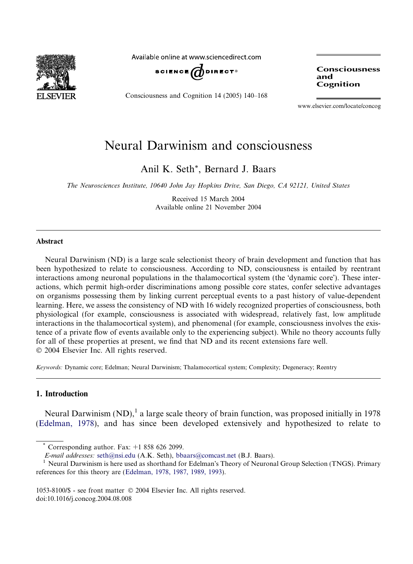

Available online at www.sciencedirect.com



Consciousness and Cognition 14 (2005) 140–168

Consciousness and Cognition

www.elsevier.com/locate/concog

# Neural Darwinism and consciousness

Anil K. Seth\*, Bernard J. Baars

The Neurosciences Institute, 10640 John Jay Hopkins Drive, San Diego, CA 92121, United States

Received 15 March 2004 Available online 21 November 2004

#### Abstract

Neural Darwinism (ND) is a large scale selectionist theory of brain development and function that has been hypothesized to relate to consciousness. According to ND, consciousness is entailed by reentrant interactions among neuronal populations in the thalamocortical system (the 'dynamic core'). These interactions, which permit high-order discriminations among possible core states, confer selective advantages on organisms possessing them by linking current perceptual events to a past history of value-dependent learning. Here, we assess the consistency of ND with 16 widely recognized properties of consciousness, both physiological (for example, consciousness is associated with widespread, relatively fast, low amplitude interactions in the thalamocortical system), and phenomenal (for example, consciousness involves the existence of a private flow of events available only to the experiencing subject). While no theory accounts fully for all of these properties at present, we find that ND and its recent extensions fare well. 2004 Elsevier Inc. All rights reserved.

Keywords: Dynamic core; Edelman; Neural Darwinism; Thalamocortical system; Complexity; Degeneracy; Reentry

## 1. Introduction

Neural Darwinism  $(ND)$ ,<sup>1</sup> a large scale theory of brain function, was proposed initially in 1978 [\(Edelman, 1978](#page-25-0)), and has since been developed extensively and hypothesized to relate to

1053-8100/\$ - see front matter 2004 Elsevier Inc. All rights reserved. doi:10.1016/j.concog.2004.08.008

Corresponding author. Fax:  $+1$  858 626 2099.

E-mail addresses: [seth@nsi.edu](mailto:seth@nsi.edu ) (A.K. Seth), [bbaars@comcast.net](mailto:bbaars@comcast.net ) (B.J. Baars).<br><sup>1</sup> Neural Darwinism is here used as shorthand for Edelman's Theory of Neuronal Group Selection (TNGS). Primary references for this theory are [\(Edelman, 1978, 1987, 1989, 1993\)](#page-25-0).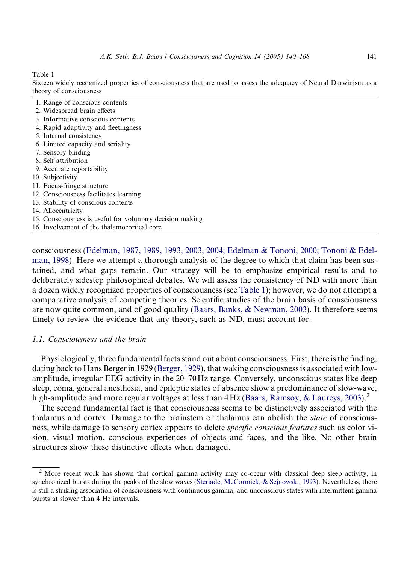<span id="page-1-0"></span>Table 1

Sixteen widely recognized properties of consciousness that are used to assess the adequacy of Neural Darwinism as a theory of consciousness

- 1. Range of conscious contents
- 2. Widespread brain effects
- 3. Informative conscious contents
- 4. Rapid adaptivity and fleetingness
- 5. Internal consistency
- 6. Limited capacity and seriality
- 7. Sensory binding
- 8. Self attribution
- 9. Accurate reportability
- 10. Subjectivity
- 11. Focus-fringe structure
- 12. Consciousness facilitates learning
- 13. Stability of conscious contents
- 14. Allocentricity
- 15. Consciousness is useful for voluntary decision making
- 16. Involvement of the thalamocortical core

consciousness [\(Edelman, 1987, 1989, 1993, 2003, 2004; Edelman & Tononi, 2000; Tononi & Edel](#page-25-0)[man, 1998](#page-25-0)). Here we attempt a thorough analysis of the degree to which that claim has been sustained, and what gaps remain. Our strategy will be to emphasize empirical results and to deliberately sidestep philosophical debates. We will assess the consistency of ND with more than a dozen widely recognized properties of consciousness (see Table 1); however, we do not attempt a comparative analysis of competing theories. Scientific studies of the brain basis of consciousness are now quite common, and of good quality [\(Baars, Banks, & Newman, 2003](#page-24-0)). It therefore seems timely to review the evidence that any theory, such as ND, must account for.

# 1.1. Consciousness and the brain

Physiologically, three fundamental facts stand out about consciousness. First, there is the finding, dating back to Hans Berger in 1929 [\(Berger, 1929](#page-24-0)), that waking consciousness is associated with lowamplitude, irregular EEG activity in the 20–70Hz range. Conversely, unconscious states like deep sleep, coma, general anesthesia, and epileptic states of absence show a predominance of slow-wave, high-amplitude and more regular voltages at less than 4Hz ([Baars, Ramsoy, & Laureys, 2003](#page-24-0)).<sup>2</sup>

The second fundamental fact is that consciousness seems to be distinctively associated with the thalamus and cortex. Damage to the brainstem or thalamus can abolish the state of consciousness, while damage to sensory cortex appears to delete specific conscious features such as color vision, visual motion, conscious experiences of objects and faces, and the like. No other brain structures show these distinctive effects when damaged.

<sup>&</sup>lt;sup>2</sup> More recent work has shown that cortical gamma activity may co-occur with classical deep sleep activity, in synchronized bursts during the peaks of the slow waves [\(Steriade, McCormick, & Sejnowski, 1993\)](#page-27-0). Nevertheless, there is still a striking association of consciousness with continuous gamma, and unconscious states with intermittent gamma bursts at slower than 4 Hz intervals.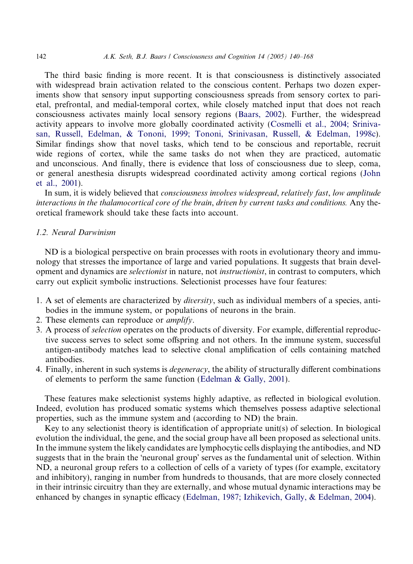The third basic finding is more recent. It is that consciousness is distinctively associated with widespread brain activation related to the conscious content. Perhaps two dozen experiments show that sensory input supporting consciousness spreads from sensory cortex to parietal, prefrontal, and medial-temporal cortex, while closely matched input that does not reach consciousness activates mainly local sensory regions ([Baars, 2002](#page-24-0)). Further, the widespread activity appears to involve more globally coordinated activity ([Cosmelli et al., 2004; Sriniva](#page-25-0)[san, Russell, Edelman, & Tononi, 1999; Tononi, Srinivasan, Russell, & Edelman, 1998c](#page-25-0)). Similar findings show that novel tasks, which tend to be conscious and reportable, recruit wide regions of cortex, while the same tasks do not when they are practiced, automatic and unconscious. And finally, there is evidence that loss of consciousness due to sleep, coma, or general anesthesia disrupts widespread coordinated activity among cortical regions ([John](#page-26-0) [et al., 2001\)](#page-26-0).

In sum, it is widely believed that consciousness involves widespread, relatively fast, low amplitude interactions in the thalamocortical core of the brain, driven by current tasks and conditions. Any theoretical framework should take these facts into account.

# 1.2. Neural Darwinism

ND is a biological perspective on brain processes with roots in evolutionary theory and immunology that stresses the importance of large and varied populations. It suggests that brain development and dynamics are selectionist in nature, not instructionist, in contrast to computers, which carry out explicit symbolic instructions. Selectionist processes have four features:

- 1. A set of elements are characterized by diversity, such as individual members of a species, antibodies in the immune system, or populations of neurons in the brain.
- 2. These elements can reproduce or amplify.
- 3. A process of selection operates on the products of diversity. For example, differential reproductive success serves to select some offspring and not others. In the immune system, successful antigen-antibody matches lead to selective clonal amplification of cells containing matched antibodies.
- 4. Finally, inherent in such systems is *degeneracy*, the ability of structurally different combinations of elements to perform the same function ([Edelman & Gally, 2001\)](#page-25-0).

These features make selectionist systems highly adaptive, as reflected in biological evolution. Indeed, evolution has produced somatic systems which themselves possess adaptive selectional properties, such as the immune system and (according to ND) the brain.

Key to any selectionist theory is identification of appropriate unit(s) of selection. In biological evolution the individual, the gene, and the social group have all been proposed as selectional units. In the immune system the likely candidates are lymphocytic cells displaying the antibodies, and ND suggests that in the brain the 'neuronal group' serves as the fundamental unit of selection. Within ND, a neuronal group refers to a collection of cells of a variety of types (for example, excitatory and inhibitory), ranging in number from hundreds to thousands, that are more closely connected in their intrinsic circuitry than they are externally, and whose mutual dynamic interactions may be enhanced by changes in synaptic efficacy [\(Edelman, 1987; Izhikevich, Gally, & Edelman, 2004](#page-25-0)).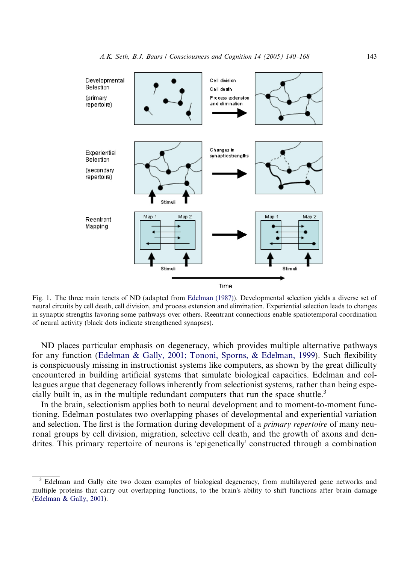<span id="page-3-0"></span>

Fig. 1. The three main tenets of ND (adapted from [Edelman \(1987\)](#page-25-0)). Developmental selection yields a diverse set of neural circuits by cell death, cell division, and process extension and elimination. Experiential selection leads to changes in synaptic strengths favoring some pathways over others. Reentrant connections enable spatiotemporal coordination of neural activity (black dots indicate strengthened synapses).

ND places particular emphasis on degeneracy, which provides multiple alternative pathways for any function [\(Edelman & Gally, 2001; Tononi, Sporns, & Edelman, 1999](#page-25-0)). Such flexibility is conspicuously missing in instructionist systems like computers, as shown by the great difficulty encountered in building artificial systems that simulate biological capacities. Edelman and colleagues argue that degeneracy follows inherently from selectionist systems, rather than being especially built in, as in the multiple redundant computers that run the space shuttle.<sup>3</sup>

In the brain, selectionism applies both to neural development and to moment-to-moment functioning. Edelman postulates two overlapping phases of developmental and experiential variation and selection. The first is the formation during development of a *primary repertoire* of many neuronal groups by cell division, migration, selective cell death, and the growth of axons and dendrites. This primary repertoire of neurons is 'epigenetically' constructed through a combination

<sup>&</sup>lt;sup>3</sup> Edelman and Gally cite two dozen examples of biological degeneracy, from multilayered gene networks and multiple proteins that carry out overlapping functions, to the brain's ability to shift functions after brain damage ([Edelman & Gally, 2001](#page-25-0)).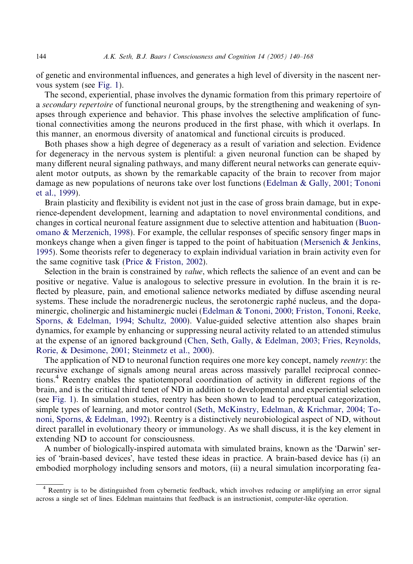of genetic and environmental influences, and generates a high level of diversity in the nascent nervous system (see [Fig. 1\)](#page-3-0).

The second, experiential, phase involves the dynamic formation from this primary repertoire of a secondary repertoire of functional neuronal groups, by the strengthening and weakening of synapses through experience and behavior. This phase involves the selective amplification of functional connectivities among the neurons produced in the first phase, with which it overlaps. In this manner, an enormous diversity of anatomical and functional circuits is produced.

Both phases show a high degree of degeneracy as a result of variation and selection. Evidence for degeneracy in the nervous system is plentiful: a given neuronal function can be shaped by many different neural signaling pathways, and many different neural networks can generate equivalent motor outputs, as shown by the remarkable capacity of the brain to recover from major damage as new populations of neurons take over lost functions ([Edelman & Gally, 2001; Tononi](#page-25-0) [et al., 1999](#page-25-0)).

Brain plasticity and flexibility is evident not just in the case of gross brain damage, but in experience-dependent development, learning and adaptation to novel environmental conditions, and changes in cortical neuronal feature assignment due to selective attention and habituation ([Buon](#page-24-0)[omano & Merzenich, 1998](#page-24-0)). For example, the cellular responses of specific sensory finger maps in monkeys change when a given finger is tapped to the point of habituation [\(Mersenich & Jenkins,](#page-26-0) [1995](#page-26-0)). Some theorists refer to degeneracy to explain individual variation in brain activity even for the same cognitive task [\(Price & Friston, 2002](#page-27-0)).

Selection in the brain is constrained by *value*, which reflects the salience of an event and can be positive or negative. Value is analogous to selective pressure in evolution. In the brain it is reflected by pleasure, pain, and emotional salience networks mediated by diffuse ascending neural systems. These include the noradrenergic nucleus, the serotonergic raphe nucleus, and the dopaminergic, cholinergic and histaminergic nuclei ([Edelman & Tononi, 2000; Friston, Tononi, Reeke,](#page-25-0) [Sporns, & Edelman, 1994; Schultz, 2000](#page-25-0)). Value-guided selective attention also shapes brain dynamics, for example by enhancing or suppressing neural activity related to an attended stimulus at the expense of an ignored background [\(Chen, Seth, Gally, & Edelman, 2003; Fries, Reynolds,](#page-25-0) [Rorie, & Desimone, 2001; Steinmetz et al., 2000\)](#page-25-0).

The application of ND to neuronal function requires one more key concept, namely *reentry*: the recursive exchange of signals among neural areas across massively parallel reciprocal connections.4 Reentry enables the spatiotemporal coordination of activity in different regions of the brain, and is the critical third tenet of ND in addition to developmental and experiential selection (see [Fig. 1\)](#page-3-0). In simulation studies, reentry has been shown to lead to perceptual categorization, simple types of learning, and motor control [\(Seth, McKinstry, Edelman, & Krichmar, 2004; To](#page-27-0)[noni, Sporns, & Edelman, 1992\)](#page-27-0). Reentry is a distinctively neurobiological aspect of ND, without direct parallel in evolutionary theory or immunology. As we shall discuss, it is the key element in extending ND to account for consciousness.

A number of biologically-inspired automata with simulated brains, known as the 'Darwin' series of 'brain-based devices', have tested these ideas in practice. A brain-based device has (i) an embodied morphology including sensors and motors, (ii) a neural simulation incorporating fea-

<sup>&</sup>lt;sup>4</sup> Reentry is to be distinguished from cybernetic feedback, which involves reducing or amplifying an error signal across a single set of lines. Edelman maintains that feedback is an instructionist, computer-like operation.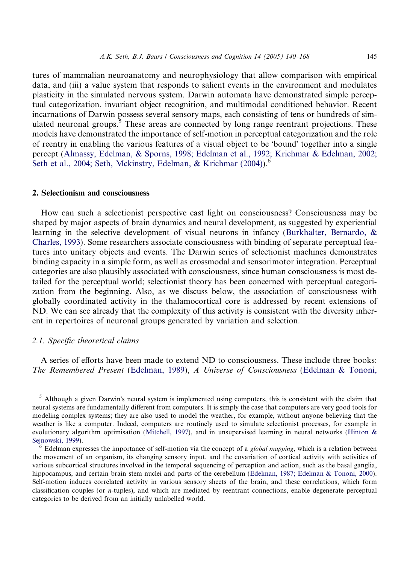tures of mammalian neuroanatomy and neurophysiology that allow comparison with empirical data, and (iii) a value system that responds to salient events in the environment and modulates plasticity in the simulated nervous system. Darwin automata have demonstrated simple perceptual categorization, invariant object recognition, and multimodal conditioned behavior. Recent incarnations of Darwin possess several sensory maps, each consisting of tens or hundreds of simulated neuronal groups.<sup>5</sup> These areas are connected by long range reentrant projections. These models have demonstrated the importance of self-motion in perceptual categorization and the role of reentry in enabling the various features of a visual object to be 'bound' together into a single percept [\(Almassy, Edelman, & Sporns, 1998; Edelman et al., 1992; Krichmar & Edelman, 2002;](#page-24-0) [Seth et al., 2004; Seth, Mckinstry, Edelman, & Krichmar \(2004\)](#page-24-0)).<sup>6</sup>

# 2. Selectionism and consciousness

How can such a selectionist perspective cast light on consciousness? Consciousness may be shaped by major aspects of brain dynamics and neural development, as suggested by experiential learning in the selective development of visual neurons in infancy ([Burkhalter, Bernardo, &](#page-25-0) [Charles, 1993\)](#page-25-0). Some researchers associate consciousness with binding of separate perceptual features into unitary objects and events. The Darwin series of selectionist machines demonstrates binding capacity in a simple form, as well as crossmodal and sensorimotor integration. Perceptual categories are also plausibly associated with consciousness, since human consciousness is most detailed for the perceptual world; selectionist theory has been concerned with perceptual categorization from the beginning. Also, as we discuss below, the association of consciousness with globally coordinated activity in the thalamocortical core is addressed by recent extensions of ND. We can see already that the complexity of this activity is consistent with the diversity inherent in repertoires of neuronal groups generated by variation and selection.

## 2.1. Specific theoretical claims

A series of efforts have been made to extend ND to consciousness. These include three books: The Remembered Present ([Edelman, 1989](#page-25-0)), A Universe of Consciousness ([Edelman & Tononi,](#page-25-0)

 $<sup>5</sup>$  Although a given Darwin's neural system is implemented using computers, this is consistent with the claim that</sup> neural systems are fundamentally different from computers. It is simply the case that computers are very good tools for modeling complex systems; they are also used to model the weather, for example, without anyone believing that the weather is like a computer. Indeed, computers are routinely used to simulate selectionist processes, for example in evolutionary algorithm optimisation ([Mitchell, 1997](#page-26-0)), and in unsupervised learning in neural networks [\(Hinton &](#page-26-0) [Sejnowski, 1999](#page-26-0)).<br><sup>6</sup> Edelman expresses the importance of self-motion via the concept of a *global mapping*, which is a relation between

the movement of an organism, its changing sensory input, and the covariation of cortical activity with activities of various subcortical structures involved in the temporal sequencing of perception and action, such as the basal ganglia, hippocampus, and certain brain stem nuclei and parts of the cerebellum [\(Edelman, 1987; Edelman & Tononi, 2000](#page-25-0)). Self-motion induces correlated activity in various sensory sheets of the brain, and these correlations, which form classification couples (or n-tuples), and which are mediated by reentrant connections, enable degenerate perceptual categories to be derived from an initially unlabelled world.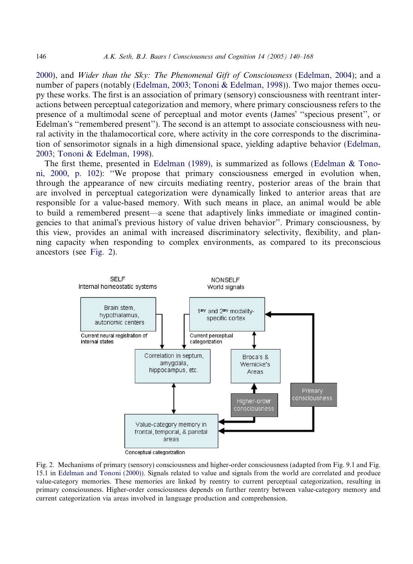<span id="page-6-0"></span>[2000](#page-25-0)), and Wider than the Sky: The Phenomenal Gift of Consciousness ([Edelman, 2004\)](#page-25-0); and a number of papers (notably ([Edelman, 2003; Tononi & Edelman, 1998\)](#page-25-0)). Two major themes occupy these works. The first is an association of primary (sensory) consciousness with reentrant interactions between perceptual categorization and memory, where primary consciousness refers to the presence of a multimodal scene of perceptual and motor events (James' "specious present", or Edelman's "remembered present"). The second is an attempt to associate consciousness with neural activity in the thalamocortical core, where activity in the core corresponds to the discrimination of sensorimotor signals in a high dimensional space, yielding adaptive behavior [\(Edelman,](#page-25-0) [2003; Tononi & Edelman, 1998](#page-25-0)).

The first theme, presented in [Edelman \(1989\),](#page-25-0) is summarized as follows ([Edelman & Tono](#page-25-0)[ni, 2000, p. 102](#page-25-0)): ''We propose that primary consciousness emerged in evolution when, through the appearance of new circuits mediating reentry, posterior areas of the brain that are involved in perceptual categorization were dynamically linked to anterior areas that are responsible for a value-based memory. With such means in place, an animal would be able to build a remembered present—a scene that adaptively links immediate or imagined contingencies to that animal's previous history of value driven behavior". Primary consciousness, by this view, provides an animal with increased discriminatory selectivity, flexibility, and planning capacity when responding to complex environments, as compared to its preconscious ancestors (see Fig. 2).



Fig. 2. Mechanisms of primary (sensory) consciousness and higher-order consciousness (adapted from Fig. 9.1 and Fig. 15.1 in [Edelman and Tononi \(2000\)](#page-25-0)). Signals related to value and signals from the world are correlated and produce value-category memories. These memories are linked by reentry to current perceptual categorization, resulting in primary consciousness. Higher-order consciousness depends on further reentry between value-category memory and current categorization via areas involved in language production and comprehension.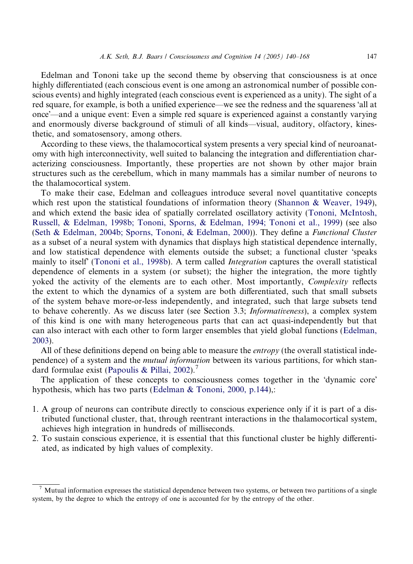Edelman and Tononi take up the second theme by observing that consciousness is at once highly differentiated (each conscious event is one among an astronomical number of possible conscious events) and highly integrated (each conscious event is experienced as a unity). The sight of a red square, for example, is both a unified experience—we see the redness and the squareness 'all at once'—and a unique event: Even a simple red square is experienced against a constantly varying and enormously diverse background of stimuli of all kinds—visual, auditory, olfactory, kinesthetic, and somatosensory, among others.

According to these views, the thalamocortical system presents a very special kind of neuroanatomy with high interconnectivity, well suited to balancing the integration and differentiation characterizing consciousness. Importantly, these properties are not shown by other major brain structures such as the cerebellum, which in many mammals has a similar number of neurons to the thalamocortical system.

To make their case, Edelman and colleagues introduce several novel quantitative concepts which rest upon the statistical foundations of information theory [\(Shannon & Weaver, 1949](#page-27-0)), and which extend the basic idea of spatially correlated oscillatory activity [\(Tononi, McIntosh,](#page-28-0) [Russell, & Edelman, 1998b; Tononi, Sporns, & Edelman, 1994; Tononi et al., 1999\)](#page-28-0) (see also [\(Seth & Edelman, 2004b; Sporns, Tononi, & Edelman, 2000](#page-27-0))). They define a Functional Cluster as a subset of a neural system with dynamics that displays high statistical dependence internally, and low statistical dependence with elements outside the subset; a functional cluster 'speaks mainly to itself [\(Tononi et al., 1998b](#page-28-0)). A term called *Integration* captures the overall statistical dependence of elements in a system (or subset); the higher the integration, the more tightly yoked the activity of the elements are to each other. Most importantly, Complexity reflects the extent to which the dynamics of a system are both differentiated, such that small subsets of the system behave more-or-less independently, and integrated, such that large subsets tend to behave coherently. As we discuss later (see Section 3.3; Informativeness), a complex system of this kind is one with many heterogeneous parts that can act quasi-independently but that can also interact with each other to form larger ensembles that yield global functions [\(Edelman,](#page-25-0) [2003](#page-25-0)).

All of these definitions depend on being able to measure the *entropy* (the overall statistical independence) of a system and the *mutual information* between its various partitions, for which stan-dard formulae exist [\(Papoulis & Pillai, 2002\)](#page-26-0).<sup>7</sup>

The application of these concepts to consciousness comes together in the 'dynamic core' hypothesis, which has two parts [\(Edelman & Tononi, 2000, p.144\)](#page-25-0),:

- 1. A group of neurons can contribute directly to conscious experience only if it is part of a distributed functional cluster, that, through reentrant interactions in the thalamocortical system, achieves high integration in hundreds of milliseconds.
- 2. To sustain conscious experience, it is essential that this functional cluster be highly differentiated, as indicated by high values of complexity.

 $<sup>7</sup>$  Mutual information expresses the statistical dependence between two systems, or between two partitions of a single</sup> system, by the degree to which the entropy of one is accounted for by the entropy of the other.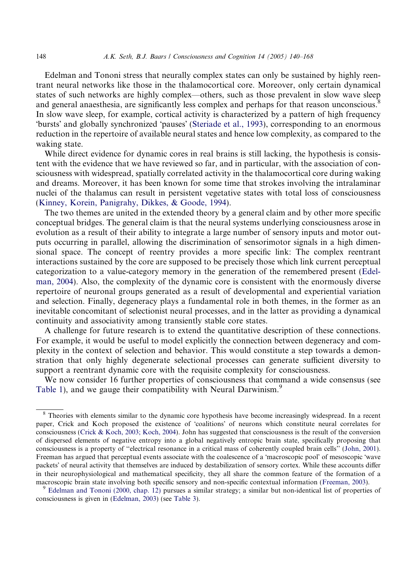Edelman and Tononi stress that neurally complex states can only be sustained by highly reentrant neural networks like those in the thalamocortical core. Moreover, only certain dynamical states of such networks are highly complex—others, such as those prevalent in slow wave sleep and general anaesthesia, are significantly less complex and perhaps for that reason unconscious.<sup>8</sup> In slow wave sleep, for example, cortical activity is characterized by a pattern of high frequency 'bursts' and globally synchronized 'pauses' ([Steriade et al., 1993\)](#page-27-0), corresponding to an enormous reduction in the repertoire of available neural states and hence low complexity, as compared to the waking state.

While direct evidence for dynamic cores in real brains is still lacking, the hypothesis is consistent with the evidence that we have reviewed so far, and in particular, with the association of consciousness with widespread, spatially correlated activity in the thalamocortical core during waking and dreams. Moreover, it has been known for some time that strokes involving the intralaminar nuclei of the thalamus can result in persistent vegetative states with total loss of consciousness [\(Kinney, Korein, Panigrahy, Dikkes, & Goode, 1994](#page-26-0)).

The two themes are united in the extended theory by a general claim and by other more specific conceptual bridges. The general claim is that the neural systems underlying consciousness arose in evolution as a result of their ability to integrate a large number of sensory inputs and motor outputs occurring in parallel, allowing the discrimination of sensorimotor signals in a high dimensional space. The concept of reentry provides a more specific link: The complex reentrant interactions sustained by the core are supposed to be precisely those which link current perceptual categorization to a value-category memory in the generation of the remembered present ([Edel](#page-25-0)[man, 2004\)](#page-25-0). Also, the complexity of the dynamic core is consistent with the enormously diverse repertoire of neuronal groups generated as a result of developmental and experiential variation and selection. Finally, degeneracy plays a fundamental role in both themes, in the former as an inevitable concomitant of selectionist neural processes, and in the latter as providing a dynamical continuity and associativity among transiently stable core states.

A challenge for future research is to extend the quantitative description of these connections. For example, it would be useful to model explicitly the connection between degeneracy and complexity in the context of selection and behavior. This would constitute a step towards a demonstration that only highly degenerate selectional processes can generate sufficient diversity to support a reentrant dynamic core with the requisite complexity for consciousness.

We now consider 16 further properties of consciousness that command a wide consensus (see [Table 1](#page-1-0)), and we gauge their compatibility with Neural Darwinism.<sup>9</sup>

<sup>&</sup>lt;sup>8</sup> Theories with elements similar to the dynamic core hypothesis have become increasingly widespread. In a recent paper, Crick and Koch proposed the existence of 'coalitions' of neurons which constitute neural correlates for consciousness ([Crick & Koch, 2003; Koch, 2004\)](#page-25-0). John has suggested that consciousness is the result of the conversion of dispersed elements of negative entropy into a global negatively entropic brain state, specifically proposing that consciousness is a property of ''electrical resonance in a critical mass of coherently coupled brain cells'' [\(John, 2001](#page-26-0)). Freeman has argued that perceptual events associate with the coalescence of a 'macroscopic pool' of mesoscopic 'wave packets' of neural activity that themselves are induced by destabilization of sensory cortex. While these accounts differ in their neurophysiological and mathematical specificity, they all share the common feature of the formation of a macroscopic brain state involving both specific sensory and non-specific contextual information ([Freeman, 2003](#page-25-0)).<br><sup>9</sup> [Edelman and Tononi \(2000, chap. 12\)](#page-25-0) pursues a similar strategy; a similar but non-identical list of prope

consciousness is given in ([Edelman, 2003](#page-25-0)) (see [Table 3\)](#page-9-0).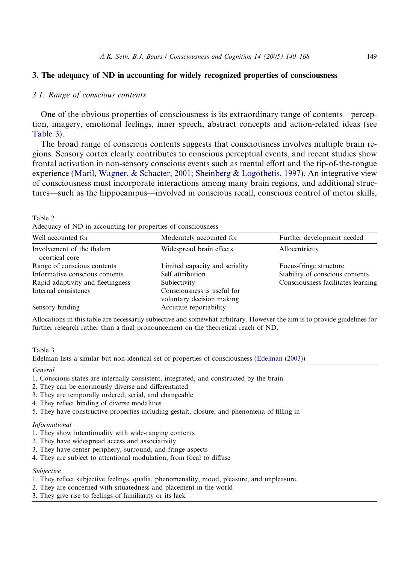# <span id="page-9-0"></span>3. The adequacy of ND in accounting for widely recognized properties of consciousness

# 3.1. Range of conscious contents

One of the obvious properties of consciousness is its extraordinary range of contents—perception, imagery, emotional feelings, inner speech, abstract concepts and action-related ideas (see Table 3).

The broad range of conscious contents suggests that consciousness involves multiple brain regions. Sensory cortex clearly contributes to conscious perceptual events, and recent studies show frontal activation in non-sensory conscious events such as mental effort and the tip-of-the-tongue experience ([Maril, Wagner, & Schacter, 2001; Sheinberg & Logothetis, 1997](#page-26-0)). An integrative view of consciousness must incorporate interactions among many brain regions, and additional structures—such as the hippocampus—involved in conscious recall, conscious control of motor skills,

Table 2

Adequacy of ND in accounting for properties of consciousness

| Well accounted for                          | Moderately accounted for       | Further development needed         |
|---------------------------------------------|--------------------------------|------------------------------------|
| Involvement of the thalam<br>ocortical core | Widespread brain effects       | Allocentricity                     |
| Range of conscious contents                 | Limited capacity and seriality | Focus-fringe structure             |
| Informative conscious contents              | Self attribution               | Stability of conscious contents    |
| Rapid adaptivity and fleetingness           | Subjectivity                   | Consciousness facilitates learning |
| Internal consistency                        | Consciousness is useful for    |                                    |
|                                             | voluntary decision making      |                                    |
| Sensory binding                             | Accurate reportability         |                                    |
|                                             |                                |                                    |

Allocations in this table are necessarily subjective and somewhat arbitrary. However the aim is to provide guidelines for further research rather than a final pronouncement on the theoretical reach of ND.

#### Table 3

Edelman lists a similar but non-identical set of properties of consciousness [\(Edelman \(2003\)](#page-25-0))

#### General

- 1. Conscious states are internally consistent, integrated, and constructed by the brain
- 2. They can be enormously diverse and differentiated
- 3. They are temporally ordered, serial, and changeable
- 4. They reflect binding of diverse modalities
- 5. They have constructive properties including gestalt, closure, and phenomena of filling in

#### Informational

- 1. They show intentionality with wide-ranging contents
- 2. They have widespread access and associativity
- 3. They have center periphery, surround, and fringe aspects
- 4. They are subject to attentional modulation, from focal to diffuse

#### Subjective

- 1. They reflect subjective feelings, qualia, phenomenality, mood, pleasure, and unpleasure.
- 2. They are concerned with situatedness and placement in the world
- 3. They give rise to feelings of familiarity or its lack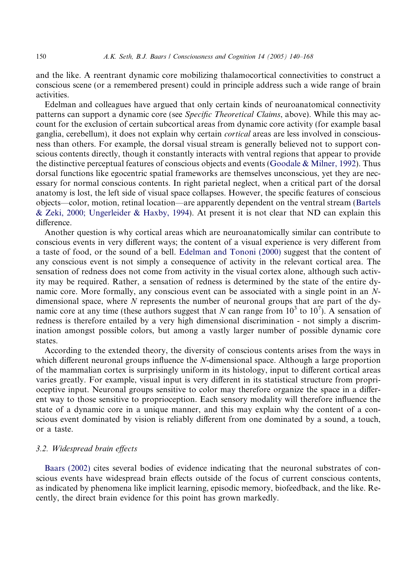and the like. A reentrant dynamic core mobilizing thalamocortical connectivities to construct a conscious scene (or a remembered present) could in principle address such a wide range of brain activities.

Edelman and colleagues have argued that only certain kinds of neuroanatomical connectivity patterns can support a dynamic core (see Specific Theoretical Claims, above). While this may account for the exclusion of certain subcortical areas from dynamic core activity (for example basal ganglia, cerebellum), it does not explain why certain cortical areas are less involved in consciousness than others. For example, the dorsal visual stream is generally believed not to support conscious contents directly, though it constantly interacts with ventral regions that appear to provide the distinctive perceptual features of conscious objects and events ([Goodale & Milner, 1992\)](#page-26-0). Thus dorsal functions like egocentric spatial frameworks are themselves unconscious, yet they are necessary for normal conscious contents. In right parietal neglect, when a critical part of the dorsal anatomy is lost, the left side of visual space collapses. However, the specific features of conscious objects—color, motion, retinal location—are apparently dependent on the ventral stream [\(Bartels](#page-24-0) [& Zeki, 2000; Ungerleider & Haxby, 1994](#page-24-0)). At present it is not clear that ND can explain this difference.

Another question is why cortical areas which are neuroanatomically similar can contribute to conscious events in very different ways; the content of a visual experience is very different from a taste of food, or the sound of a bell. [Edelman and Tononi \(2000\)](#page-25-0) suggest that the content of any conscious event is not simply a consequence of activity in the relevant cortical area. The sensation of redness does not come from activity in the visual cortex alone, although such activity may be required. Rather, a sensation of redness is determined by the state of the entire dynamic core. More formally, any conscious event can be associated with a single point in an Ndimensional space, where  $N$  represents the number of neuronal groups that are part of the dynamic core at any time (these authors suggest that N can range from  $10^3$  to  $10^7$ ). A sensation of redness is therefore entailed by a very high dimensional discrimination - not simply a discrimination amongst possible colors, but among a vastly larger number of possible dynamic core states.

According to the extended theory, the diversity of conscious contents arises from the ways in which different neuronal groups influence the N-dimensional space. Although a large proportion of the mammalian cortex is surprisingly uniform in its histology, input to different cortical areas varies greatly. For example, visual input is very different in its statistical structure from proprioceptive input. Neuronal groups sensitive to color may therefore organize the space in a different way to those sensitive to proprioception. Each sensory modality will therefore influence the state of a dynamic core in a unique manner, and this may explain why the content of a conscious event dominated by vision is reliably different from one dominated by a sound, a touch, or a taste.

#### 3.2. Widespread brain effects

[Baars \(2002\)](#page-24-0) cites several bodies of evidence indicating that the neuronal substrates of conscious events have widespread brain effects outside of the focus of current conscious contents, as indicated by phenomena like implicit learning, episodic memory, biofeedback, and the like. Recently, the direct brain evidence for this point has grown markedly.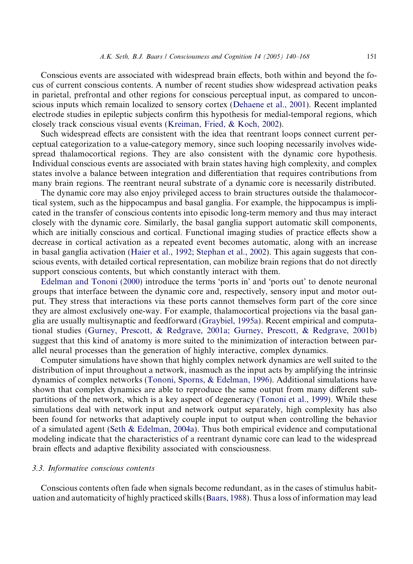Conscious events are associated with widespread brain effects, both within and beyond the focus of current conscious contents. A number of recent studies show widespread activation peaks in parietal, prefrontal and other regions for conscious perceptual input, as compared to unconscious inputs which remain localized to sensory cortex [\(Dehaene et al., 2001](#page-25-0)). Recent implanted electrode studies in epileptic subjects confirm this hypothesis for medial-temporal regions, which closely track conscious visual events [\(Kreiman, Fried, & Koch, 2002\)](#page-26-0).

Such widespread effects are consistent with the idea that reentrant loops connect current perceptual categorization to a value-category memory, since such looping necessarily involves widespread thalamocortical regions. They are also consistent with the dynamic core hypothesis. Individual conscious events are associated with brain states having high complexity, and complex states involve a balance between integration and differentiation that requires contributions from many brain regions. The reentrant neural substrate of a dynamic core is necessarily distributed.

The dynamic core may also enjoy privileged access to brain structures outside the thalamocortical system, such as the hippocampus and basal ganglia. For example, the hippocampus is implicated in the transfer of conscious contents into episodic long-term memory and thus may interact closely with the dynamic core. Similarly, the basal ganglia support automatic skill components, which are initially conscious and cortical. Functional imaging studies of practice effects show a decrease in cortical activation as a repeated event becomes automatic, along with an increase in basal ganglia activation [\(Haier et al., 1992; Stephan et al., 2002](#page-26-0)). This again suggests that conscious events, with detailed cortical representation, can mobilize brain regions that do not directly support conscious contents, but which constantly interact with them.

[Edelman and Tononi \(2000\)](#page-25-0) introduce the terms 'ports in' and 'ports out' to denote neuronal groups that interface between the dynamic core and, respectively, sensory input and motor output. They stress that interactions via these ports cannot themselves form part of the core since they are almost exclusively one-way. For example, thalamocortical projections via the basal ganglia are usually multisynaptic and feedforward [\(Graybiel, 1995a](#page-26-0)). Recent empirical and computational studies ([Gurney, Prescott, & Redgrave, 2001a; Gurney, Prescott, & Redgrave, 2001b](#page-26-0)) suggest that this kind of anatomy is more suited to the minimization of interaction between parallel neural processes than the generation of highly interactive, complex dynamics.

Computer simulations have shown that highly complex network dynamics are well suited to the distribution of input throughout a network, inasmuch as the input acts by amplifying the intrinsic dynamics of complex networks [\(Tononi, Sporns, & Edelman, 1996\)](#page-28-0). Additional simulations have shown that complex dynamics are able to reproduce the same output from many different subpartitions of the network, which is a key aspect of degeneracy ([Tononi et al., 1999](#page-28-0)). While these simulations deal with network input and network output separately, high complexity has also been found for networks that adaptively couple input to output when controlling the behavior of a simulated agent [\(Seth & Edelman, 2004a](#page-27-0)). Thus both empirical evidence and computational modeling indicate that the characteristics of a reentrant dynamic core can lead to the widespread brain effects and adaptive flexibility associated with consciousness.

## 3.3. Informative conscious contents

Conscious contents often fade when signals become redundant, as in the cases of stimulus habituation and automaticity of highly practiced skills ([Baars, 1988](#page-24-0)). Thus a loss of information may lead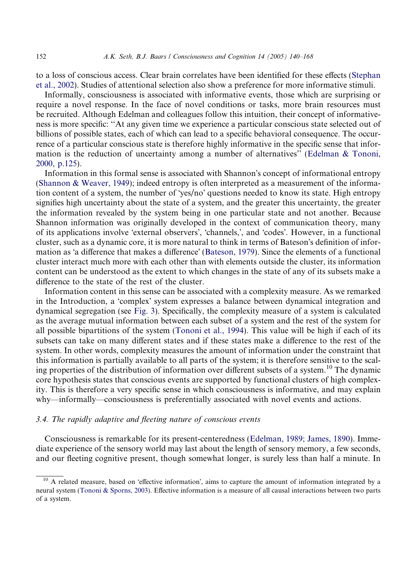to a loss of conscious access. Clear brain correlates have been identified for these effects ([Stephan](#page-27-0) [et al., 2002\)](#page-27-0). Studies of attentional selection also show a preference for more informative stimuli.

Informally, consciousness is associated with informative events, those which are surprising or require a novel response. In the face of novel conditions or tasks, more brain resources must be recruited. Although Edelman and colleagues follow this intuition, their concept of informativeness is more specific: ''At any given time we experience a particular conscious state selected out of billions of possible states, each of which can lead to a specific behavioral consequence. The occurrence of a particular conscious state is therefore highly informative in the specific sense that information is the reduction of uncertainty among a number of alternatives'' [\(Edelman & Tononi,](#page-25-0) [2000, p.125](#page-25-0)).

Information in this formal sense is associated with Shannon's concept of informational entropy [\(Shannon & Weaver, 1949\)](#page-27-0); indeed entropy is often interpreted as a measurement of the information content of a system, the number of 'yes/no' questions needed to know its state. High entropy signifies high uncertainty about the state of a system, and the greater this uncertainty, the greater the information revealed by the system being in one particular state and not another. Because Shannon information was originally developed in the context of communication theory, many of its applications involve 'external observers', 'channels,', and 'codes'. However, in a functional cluster, such as a dynamic core, it is more natural to think in terms of Bateson's definition of infor-mation as 'a difference that makes a difference' [\(Bateson, 1979\)](#page-24-0). Since the elements of a functional cluster interact much more with each other than with elements outside the cluster, its information content can be understood as the extent to which changes in the state of any of its subsets make a difference to the state of the rest of the cluster.

Information content in this sense can be associated with a complexity measure. As we remarked in the Introduction, a 'complex' system expresses a balance between dynamical integration and dynamical segregation (see [Fig. 3](#page-13-0)). Specifically, the complexity measure of a system is calculated as the average mutual information between each subset of a system and the rest of the system for all possible bipartitions of the system [\(Tononi et al., 1994](#page-28-0)). This value will be high if each of its subsets can take on many different states and if these states make a difference to the rest of the system. In other words, complexity measures the amount of information under the constraint that this information is partially available to all parts of the system; it is therefore sensitive to the scaling properties of the distribution of information over different subsets of a system.<sup>10</sup> The dynamic core hypothesis states that conscious events are supported by functional clusters of high complexity. This is therefore a very specific sense in which consciousness is informative, and may explain why—informally—consciousness is preferentially associated with novel events and actions.

# 3.4. The rapidly adaptive and fleeting nature of conscious events

Consciousness is remarkable for its present-centeredness [\(Edelman, 1989; James, 1890](#page-25-0)). Immediate experience of the sensory world may last about the length of sensory memory, a few seconds, and our fleeting cognitive present, though somewhat longer, is surely less than half a minute. In

<sup>&</sup>lt;sup>10</sup> A related measure, based on 'effective information', aims to capture the amount of information integrated by a neural system [\(Tononi & Sporns, 2003](#page-28-0)). Effective information is a measure of all causal interactions between two parts of a system.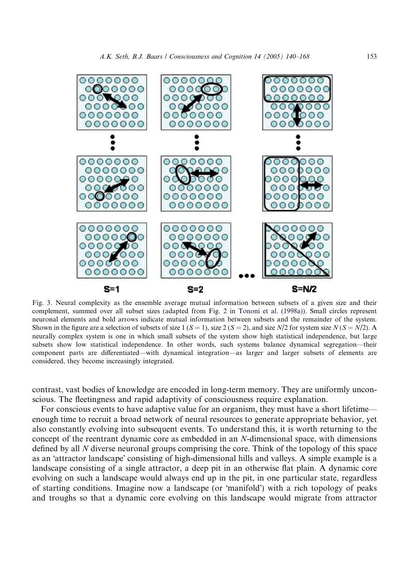<span id="page-13-0"></span>

Fig. 3. Neural complexity as the ensemble average mutual information between subsets of a given size and their complement, summed over all subset sizes (adapted from Fig. 2 in [Tononi et al. \(1998a\)](#page-27-0)). Small circles represent neuronal elements and bold arrows indicate mutual information between subsets and the remainder of the system. Shown in the figure are a selection of subsets of size 1 (S = 1), size 2 (S = 2), and size  $N/2$  for system size  $N(S = N/2)$ . A neurally complex system is one in which small subsets of the system show high statistical independence, but large subsets show low statistical independence. In other words, such systems balance dynamical segregation—their component parts are differentiated—with dynamical integration—as larger and larger subsets of elements are considered, they become increasingly integrated.

contrast, vast bodies of knowledge are encoded in long-term memory. They are uniformly unconscious. The fleetingness and rapid adaptivity of consciousness require explanation.

For conscious events to have adaptive value for an organism, they must have a short lifetime enough time to recruit a broad network of neural resources to generate appropriate behavior, yet also constantly evolving into subsequent events. To understand this, it is worth returning to the concept of the reentrant dynamic core as embedded in an N-dimensional space, with dimensions defined by all N diverse neuronal groups comprising the core. Think of the topology of this space as an 'attractor landscape' consisting of high-dimensional hills and valleys. A simple example is a landscape consisting of a single attractor, a deep pit in an otherwise flat plain. A dynamic core evolving on such a landscape would always end up in the pit, in one particular state, regardless of starting conditions. Imagine now a landscape (or 'manifold') with a rich topology of peaks and troughs so that a dynamic core evolving on this landscape would migrate from attractor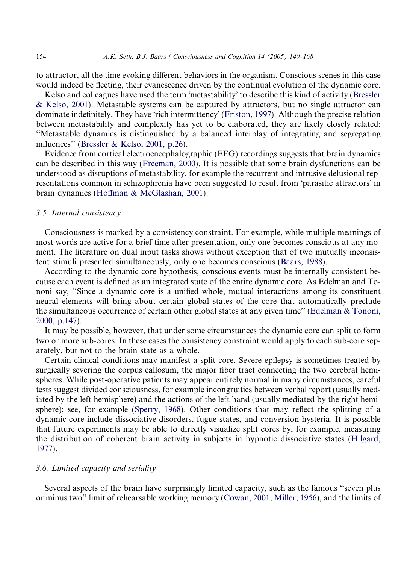to attractor, all the time evoking different behaviors in the organism. Conscious scenes in this case would indeed be fleeting, their evanescence driven by the continual evolution of the dynamic core.

Kelso and colleagues have used the term 'metastability' to describe this kind of activity [\(Bressler](#page-24-0) [& Kelso, 2001](#page-24-0)). Metastable systems can be captured by attractors, but no single attractor can dominate indefinitely. They have 'rich intermittency' ([Friston, 1997\)](#page-25-0). Although the precise relation between metastability and complexity has yet to be elaborated, they are likely closely related: ''Metastable dynamics is distinguished by a balanced interplay of integrating and segregating influences'' [\(Bressler & Kelso, 2001, p.26\)](#page-24-0).

Evidence from cortical electroencephalographic (EEG) recordings suggests that brain dynamics can be described in this way ([Freeman, 2000\)](#page-25-0). It is possible that some brain dysfunctions can be understood as disruptions of metastability, for example the recurrent and intrusive delusional representations common in schizophrenia have been suggested to result from 'parasitic attractors' in brain dynamics [\(Hoffman & McGlashan, 2001\)](#page-26-0).

#### 3.5. Internal consistency

Consciousness is marked by a consistency constraint. For example, while multiple meanings of most words are active for a brief time after presentation, only one becomes conscious at any moment. The literature on dual input tasks shows without exception that of two mutually inconsistent stimuli presented simultaneously, only one becomes conscious ([Baars, 1988](#page-24-0)).

According to the dynamic core hypothesis, conscious events must be internally consistent because each event is defined as an integrated state of the entire dynamic core. As Edelman and Tononi say, ''Since a dynamic core is a unified whole, mutual interactions among its constituent neural elements will bring about certain global states of the core that automatically preclude the simultaneous occurrence of certain other global states at any given time'' ([Edelman & Tononi,](#page-25-0) [2000, p.147](#page-25-0)).

It may be possible, however, that under some circumstances the dynamic core can split to form two or more sub-cores. In these cases the consistency constraint would apply to each sub-core separately, but not to the brain state as a whole.

Certain clinical conditions may manifest a split core. Severe epilepsy is sometimes treated by surgically severing the corpus callosum, the major fiber tract connecting the two cerebral hemispheres. While post-operative patients may appear entirely normal in many circumstances, careful tests suggest divided consciousness, for example incongruities between verbal report (usually mediated by the left hemisphere) and the actions of the left hand (usually mediated by the right hemisphere); see, for example ([Sperry, 1968](#page-27-0)). Other conditions that may reflect the splitting of a dynamic core include dissociative disorders, fugue states, and conversion hysteria. It is possible that future experiments may be able to directly visualize split cores by, for example, measuring the distribution of coherent brain activity in subjects in hypnotic dissociative states ([Hilgard,](#page-26-0) [1977](#page-26-0)).

## 3.6. Limited capacity and seriality

Several aspects of the brain have surprisingly limited capacity, such as the famous ''seven plus or minus two'' limit of rehearsable working memory ([Cowan, 2001; Miller, 1956](#page-25-0)), and the limits of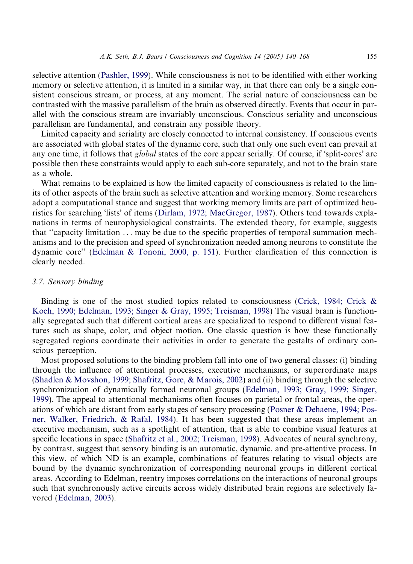selective attention [\(Pashler, 1999](#page-27-0)). While consciousness is not to be identified with either working memory or selective attention, it is limited in a similar way, in that there can only be a single consistent conscious stream, or process, at any moment. The serial nature of consciousness can be contrasted with the massive parallelism of the brain as observed directly. Events that occur in parallel with the conscious stream are invariably unconscious. Conscious seriality and unconscious parallelism are fundamental, and constrain any possible theory.

Limited capacity and seriality are closely connected to internal consistency. If conscious events are associated with global states of the dynamic core, such that only one such event can prevail at any one time, it follows that *global* states of the core appear serially. Of course, if 'split-cores' are possible then these constraints would apply to each sub-core separately, and not to the brain state as a whole.

What remains to be explained is how the limited capacity of consciousness is related to the limits of other aspects of the brain such as selective attention and working memory. Some researchers adopt a computational stance and suggest that working memory limits are part of optimized heu-ristics for searching 'lists' of items [\(Dirlam, 1972; MacGregor, 1987](#page-25-0)). Others tend towards explanations in terms of neurophysiological constraints. The extended theory, for example, suggests that ''capacity limitation ... may be due to the specific properties of temporal summation mechanisms and to the precision and speed of synchronization needed among neurons to constitute the dynamic core'' ([Edelman & Tononi, 2000, p. 151\)](#page-25-0). Further clarification of this connection is clearly needed.

## 3.7. Sensory binding

Binding is one of the most studied topics related to consciousness ([Crick, 1984; Crick &](#page-25-0) [Koch, 1990; Edelman, 1993; Singer & Gray, 1995; Treisman, 1998\)](#page-25-0) The visual brain is functionally segregated such that different cortical areas are specialized to respond to different visual features such as shape, color, and object motion. One classic question is how these functionally segregated regions coordinate their activities in order to generate the gestalts of ordinary conscious perception.

Most proposed solutions to the binding problem fall into one of two general classes: (i) binding through the influence of attentional processes, executive mechanisms, or superordinate maps [\(Shadlen & Movshon, 1999; Shafritz, Gore, & Marois, 2002](#page-27-0)) and (ii) binding through the selective synchronization of dynamically formed neuronal groups ([Edelman, 1993; Gray, 1999; Singer,](#page-25-0) [1999](#page-25-0)). The appeal to attentional mechanisms often focuses on parietal or frontal areas, the operations of which are distant from early stages of sensory processing [\(Posner & Dehaene, 1994; Pos](#page-27-0)[ner, Walker, Friedrich, & Rafal, 1984](#page-27-0)). It has been suggested that these areas implement an executive mechanism, such as a spotlight of attention, that is able to combine visual features at specific locations in space ([Shafritz et al., 2002; Treisman, 1998](#page-27-0)). Advocates of neural synchrony, by contrast, suggest that sensory binding is an automatic, dynamic, and pre-attentive process. In this view, of which ND is an example, combinations of features relating to visual objects are bound by the dynamic synchronization of corresponding neuronal groups in different cortical areas. According to Edelman, reentry imposes correlations on the interactions of neuronal groups such that synchronously active circuits across widely distributed brain regions are selectively favored [\(Edelman, 2003](#page-25-0)).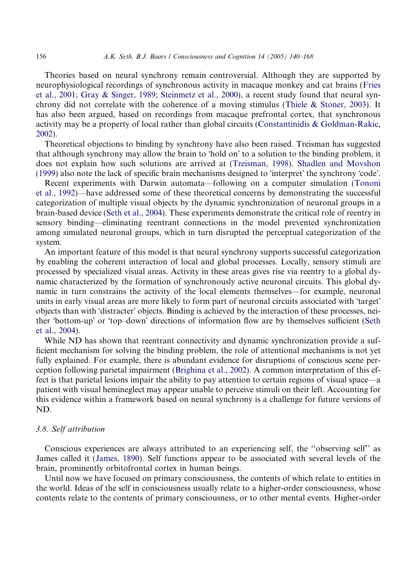Theories based on neural synchrony remain controversial. Although they are supported by neurophysiological recordings of synchronous activity in macaque monkey and cat brains [\(Fries](#page-25-0) [et al., 2001; Gray & Singer, 1989; Steinmetz et al., 2000\)](#page-25-0), a recent study found that neural synchrony did not correlate with the coherence of a moving stimulus [\(Thiele & Stoner, 2003\)](#page-27-0). It has also been argued, based on recordings from macaque prefrontal cortex, that synchronous activity may be a property of local rather than global circuits [\(Constantinidis & Goldman-Rakic,](#page-25-0) [2002](#page-25-0)).

Theoretical objections to binding by synchrony have also been raised. Treisman has suggested that although synchrony may allow the brain to 'hold on' to a solution to the binding problem, it does not explain how such solutions are arrived at ([Treisman, 1998](#page-28-0)). [Shadlen and Movshon](#page-27-0) [\(1999\)](#page-27-0) also note the lack of specific brain mechanisms designed to 'interpret' the synchrony 'code'.

Recent experiments with Darwin automata—following on a computer simulation [\(Tononi](#page-28-0) [et al., 1992\)](#page-28-0)—have addressed some of these theoretical concerns by demonstrating the successful categorization of multiple visual objects by the dynamic synchronization of neuronal groups in a brain-based device [\(Seth et al., 2004\)](#page-27-0). These experiments demonstrate the critical role of reentry in sensory binding—eliminating reentrant connections in the model prevented synchronization among simulated neuronal groups, which in turn disrupted the perceptual categorization of the system.

An important feature of this model is that neural synchrony supports successful categorization by enabling the coherent interaction of local and global processes. Locally, sensory stimuli are processed by specialized visual areas. Activity in these areas gives rise via reentry to a global dynamic characterized by the formation of synchronously active neuronal circuits. This global dynamic in turn constrains the activity of the local elements themselves—for example, neuronal units in early visual areas are more likely to form part of neuronal circuits associated with 'target' objects than with 'distracter' objects. Binding is achieved by the interaction of these processes, nei-ther 'bottom-up' or 'top-down' directions of information flow are by themselves sufficient [\(Seth](#page-27-0) [et al., 2004](#page-27-0)).

While ND has shown that reentrant connectivity and dynamic synchronization provide a sufficient mechanism for solving the binding problem, the role of attentional mechanisms is not yet fully explained. For example, there is abundant evidence for disruptions of conscious scene perception following parietal impairment ([Brighina et al., 2002\)](#page-24-0). A common interpretation of this effect is that parietal lesions impair the ability to pay attention to certain regions of visual space—a patient with visual hemineglect may appear unable to perceive stimuli on their left. Accounting for this evidence within a framework based on neural synchrony is a challenge for future versions of ND.

## 3.8. Self attribution

Conscious experiences are always attributed to an experiencing self, the ''observing self'' as James called it [\(James, 1890\)](#page-26-0). Self functions appear to be associated with several levels of the brain, prominently orbitofrontal cortex in human beings.

Until now we have focused on primary consciousness, the contents of which relate to entities in the world. Ideas of the self in consciousness usually relate to a higher-order consciousness, whose contents relate to the contents of primary consciousness, or to other mental events. Higher-order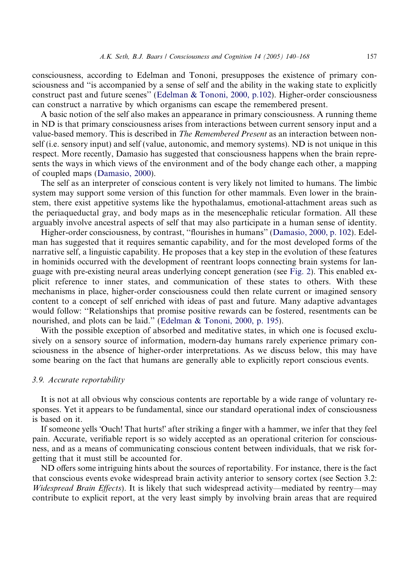consciousness, according to Edelman and Tononi, presupposes the existence of primary consciousness and ''is accompanied by a sense of self and the ability in the waking state to explicitly construct past and future scenes'' [\(Edelman & Tononi, 2000, p.102\)](#page-25-0). Higher-order consciousness can construct a narrative by which organisms can escape the remembered present.

A basic notion of the self also makes an appearance in primary consciousness. A running theme in ND is that primary consciousness arises from interactions between current sensory input and a value-based memory. This is described in *The Remembered Present* as an interaction between nonself (i.e. sensory input) and self (value, autonomic, and memory systems). ND is not unique in this respect. More recently, Damasio has suggested that consciousness happens when the brain represents the ways in which views of the environment and of the body change each other, a mapping of coupled maps [\(Damasio, 2000\)](#page-25-0).

The self as an interpreter of conscious content is very likely not limited to humans. The limbic system may support some version of this function for other mammals. Even lower in the brainstem, there exist appetitive systems like the hypothalamus, emotional-attachment areas such as the periaqueductal gray, and body maps as in the mesencephalic reticular formation. All these arguably involve ancestral aspects of self that may also participate in a human sense of identity.

Higher-order consciousness, by contrast, ''flourishes in humans'' ([Damasio, 2000, p. 102\)](#page-25-0). Edelman has suggested that it requires semantic capability, and for the most developed forms of the narrative self, a linguistic capability. He proposes that a key step in the evolution of these features in hominids occurred with the development of reentrant loops connecting brain systems for language with pre-existing neural areas underlying concept generation (see [Fig. 2](#page-6-0)). This enabled explicit reference to inner states, and communication of these states to others. With these mechanisms in place, higher-order consciousness could then relate current or imagined sensory content to a concept of self enriched with ideas of past and future. Many adaptive advantages would follow: ''Relationships that promise positive rewards can be fostered, resentments can be nourished, and plots can be laid.'' [\(Edelman & Tononi, 2000, p. 195](#page-25-0)).

With the possible exception of absorbed and meditative states, in which one is focused exclusively on a sensory source of information, modern-day humans rarely experience primary consciousness in the absence of higher-order interpretations. As we discuss below, this may have some bearing on the fact that humans are generally able to explicitly report conscious events.

### 3.9. Accurate reportability

It is not at all obvious why conscious contents are reportable by a wide range of voluntary responses. Yet it appears to be fundamental, since our standard operational index of consciousness is based on it.

If someone yells 'Ouch! That hurts!' after striking a finger with a hammer, we infer that they feel pain. Accurate, verifiable report is so widely accepted as an operational criterion for consciousness, and as a means of communicating conscious content between individuals, that we risk forgetting that it must still be accounted for.

ND offers some intriguing hints about the sources of reportability. For instance, there is the fact that conscious events evoke widespread brain activity anterior to sensory cortex (see Section 3.2: Widespread Brain Effects). It is likely that such widespread activity—mediated by reentry—may contribute to explicit report, at the very least simply by involving brain areas that are required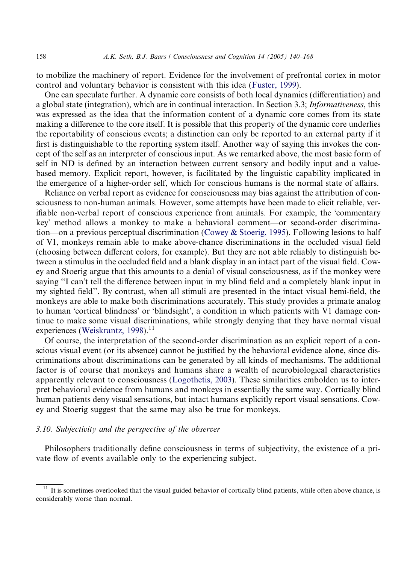to mobilize the machinery of report. Evidence for the involvement of prefrontal cortex in motor control and voluntary behavior is consistent with this idea ([Fuster, 1999\)](#page-25-0).

One can speculate further. A dynamic core consists of both local dynamics (differentiation) and a global state (integration), which are in continual interaction. In Section 3.3; Informativeness, this was expressed as the idea that the information content of a dynamic core comes from its state making a difference to the core itself. It is possible that this property of the dynamic core underlies the reportability of conscious events; a distinction can only be reported to an external party if it first is distinguishable to the reporting system itself. Another way of saying this invokes the concept of the self as an interpreter of conscious input. As we remarked above, the most basic form of self in ND is defined by an interaction between current sensory and bodily input and a valuebased memory. Explicit report, however, is facilitated by the linguistic capability implicated in the emergence of a higher-order self, which for conscious humans is the normal state of affairs.

Reliance on verbal report as evidence for consciousness may bias against the attribution of consciousness to non-human animals. However, some attempts have been made to elicit reliable, verifiable non-verbal report of conscious experience from animals. For example, the commentary key' method allows a monkey to make a behavioral comment—or second-order discrimination—on a previous perceptual discrimination [\(Cowey & Stoerig, 1995](#page-25-0)). Following lesions to half of V1, monkeys remain able to make above-chance discriminations in the occluded visual field (choosing between different colors, for example). But they are not able reliably to distinguish between a stimulus in the occluded field and a blank display in an intact part of the visual field. Cowey and Stoerig argue that this amounts to a denial of visual consciousness, as if the monkey were saying "I can't tell the difference between input in my blind field and a completely blank input in my sighted field''. By contrast, when all stimuli are presented in the intact visual hemi-field, the monkeys are able to make both discriminations accurately. This study provides a primate analog to human 'cortical blindness' or 'blindsight', a condition in which patients with V1 damage continue to make some visual discriminations, while strongly denying that they have normal visual experiences ([Weiskrantz, 1998](#page-28-0)).<sup>11</sup>

Of course, the interpretation of the second-order discrimination as an explicit report of a conscious visual event (or its absence) cannot be justified by the behavioral evidence alone, since discriminations about discriminations can be generated by all kinds of mechanisms. The additional factor is of course that monkeys and humans share a wealth of neurobiological characteristics apparently relevant to consciousness ([Logothetis, 2003](#page-26-0)). These similarities embolden us to interpret behavioral evidence from humans and monkeys in essentially the same way. Cortically blind human patients deny visual sensations, but intact humans explicitly report visual sensations. Cowey and Stoerig suggest that the same may also be true for monkeys.

# 3.10. Subjectivity and the perspective of the observer

Philosophers traditionally define consciousness in terms of subjectivity, the existence of a private flow of events available only to the experiencing subject.

 $11$  It is sometimes overlooked that the visual guided behavior of cortically blind patients, while often above chance, is considerably worse than normal.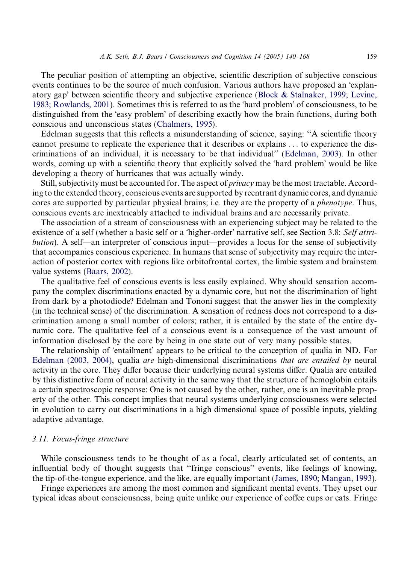The peculiar position of attempting an objective, scientific description of subjective conscious events continues to be the source of much confusion. Various authors have proposed an 'explan-atory gap' between scientific theory and subjective experience ([Block & Stalnaker, 1999; Levine,](#page-24-0) [1983; Rowlands, 2001\)](#page-24-0). Sometimes this is referred to as the 'hard problem' of consciousness, to be distinguished from the 'easy problem' of describing exactly how the brain functions, during both conscious and unconscious states ([Chalmers, 1995\)](#page-25-0).

Edelman suggests that this reflects a misunderstanding of science, saying: ''A scientific theory cannot presume to replicate the experience that it describes or explains ... to experience the discriminations of an individual, it is necessary to be that individual'' [\(Edelman, 2003](#page-25-0)). In other words, coming up with a scientific theory that explicitly solved the 'hard problem' would be like developing a theory of hurricanes that was actually windy.

Still, subjectivity must be accounted for. The aspect of privacy may be the most tractable. According to the extended theory, conscious events are supported by reentrant dynamic cores, and dynamic cores are supported by particular physical brains; i.e. they are the property of a phenotype. Thus, conscious events are inextricably attached to individual brains and are necessarily private.

The association of a stream of consciousness with an experiencing subject may be related to the existence of a self (whether a basic self or a 'higher-order' narrative self, see Section 3.8: Self attribution). A self—an interpreter of conscious input—provides a locus for the sense of subjectivity that accompanies conscious experience. In humans that sense of subjectivity may require the interaction of posterior cortex with regions like orbitofrontal cortex, the limbic system and brainstem value systems ([Baars, 2002\)](#page-24-0).

The qualitative feel of conscious events is less easily explained. Why should sensation accompany the complex discriminations enacted by a dynamic core, but not the discrimination of light from dark by a photodiode? Edelman and Tononi suggest that the answer lies in the complexity (in the technical sense) of the discrimination. A sensation of redness does not correspond to a discrimination among a small number of colors; rather, it is entailed by the state of the entire dynamic core. The qualitative feel of a conscious event is a consequence of the vast amount of information disclosed by the core by being in one state out of very many possible states.

The relationship of 'entailment' appears to be critical to the conception of qualia in ND. For [Edelman \(2003, 2004\)](#page-25-0), qualia are high-dimensional discriminations that are entailed by neural activity in the core. They differ because their underlying neural systems differ. Qualia are entailed by this distinctive form of neural activity in the same way that the structure of hemoglobin entails a certain spectroscopic response: One is not caused by the other, rather, one is an inevitable property of the other. This concept implies that neural systems underlying consciousness were selected in evolution to carry out discriminations in a high dimensional space of possible inputs, yielding adaptive advantage.

#### 3.11. Focus-fringe structure

While consciousness tends to be thought of as a focal, clearly articulated set of contents, an influential body of thought suggests that ''fringe conscious'' events, like feelings of knowing, the tip-of-the-tongue experience, and the like, are equally important [\(James, 1890; Mangan, 1993](#page-26-0)).

Fringe experiences are among the most common and significant mental events. They upset our typical ideas about consciousness, being quite unlike our experience of coffee cups or cats. Fringe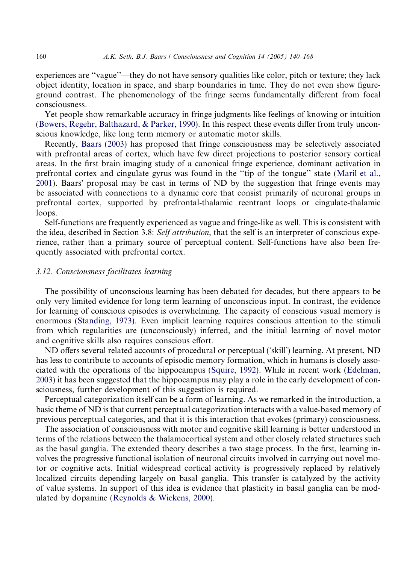experiences are ''vague''—they do not have sensory qualities like color, pitch or texture; they lack object identity, location in space, and sharp boundaries in time. They do not even show figureground contrast. The phenomenology of the fringe seems fundamentally different from focal consciousness.

Yet people show remarkable accuracy in fringe judgments like feelings of knowing or intuition [\(Bowers, Regehr, Balthazard, & Parker, 1990](#page-24-0)). In this respect these events differ from truly unconscious knowledge, like long term memory or automatic motor skills.

Recently, [Baars \(2003\)](#page-24-0) has proposed that fringe consciousness may be selectively associated with prefrontal areas of cortex, which have few direct projections to posterior sensory cortical areas. In the first brain imaging study of a canonical fringe experience, dominant activation in prefrontal cortex and cingulate gyrus was found in the ''tip of the tongue'' state ([Maril et al.,](#page-26-0) [2001](#page-26-0)). Baars' proposal may be cast in terms of ND by the suggestion that fringe events may be associated with connections to a dynamic core that consist primarily of neuronal groups in prefrontal cortex, supported by prefrontal-thalamic reentrant loops or cingulate-thalamic loops.

Self-functions are frequently experienced as vague and fringe-like as well. This is consistent with the idea, described in Section 3.8: Self attribution, that the self is an interpreter of conscious experience, rather than a primary source of perceptual content. Self-functions have also been frequently associated with prefrontal cortex.

## 3.12. Consciousness facilitates learning

The possibility of unconscious learning has been debated for decades, but there appears to be only very limited evidence for long term learning of unconscious input. In contrast, the evidence for learning of conscious episodes is overwhelming. The capacity of conscious visual memory is enormous [\(Standing, 1973\)](#page-27-0). Even implicit learning requires conscious attention to the stimuli from which regularities are (unconsciously) inferred, and the initial learning of novel motor and cognitive skills also requires conscious effort.

ND offers several related accounts of procedural or perceptual ('skill') learning. At present, ND has less to contribute to accounts of episodic memory formation, which in humans is closely associated with the operations of the hippocampus ([Squire, 1992\)](#page-27-0). While in recent work [\(Edelman,](#page-25-0) [2003](#page-25-0)) it has been suggested that the hippocampus may play a role in the early development of consciousness, further development of this suggestion is required.

Perceptual categorization itself can be a form of learning. As we remarked in the introduction, a basic theme of ND is that current perceptual categorization interacts with a value-based memory of previous perceptual categories, and that it is this interaction that evokes (primary) consciousness.

The association of consciousness with motor and cognitive skill learning is better understood in terms of the relations between the thalamocortical system and other closely related structures such as the basal ganglia. The extended theory describes a two stage process. In the first, learning involves the progressive functional isolation of neuronal circuits involved in carrying out novel motor or cognitive acts. Initial widespread cortical activity is progressively replaced by relatively localized circuits depending largely on basal ganglia. This transfer is catalyzed by the activity of value systems. In support of this idea is evidence that plasticity in basal ganglia can be modulated by dopamine ([Reynolds & Wickens, 2000\)](#page-27-0).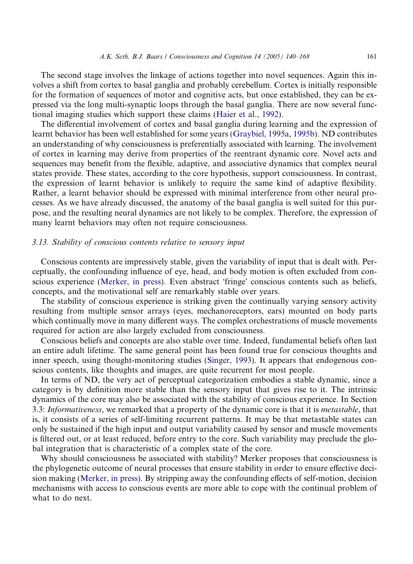The second stage involves the linkage of actions together into novel sequences. Again this involves a shift from cortex to basal ganglia and probably cerebellum. Cortex is initially responsible for the formation of sequences of motor and cognitive acts, but once established, they can be expressed via the long multi-synaptic loops through the basal ganglia. There are now several functional imaging studies which support these claims [\(Haier et al., 1992](#page-26-0)).

The differential involvement of cortex and basal ganglia during learning and the expression of learnt behavior has been well established for some years [\(Graybiel, 1995a, 1995b\)](#page-26-0). ND contributes an understanding of why consciousness is preferentially associated with learning. The involvement of cortex in learning may derive from properties of the reentrant dynamic core. Novel acts and sequences may benefit from the flexible, adaptive, and associative dynamics that complex neural states provide. These states, according to the core hypothesis, support consciousness. In contrast, the expression of learnt behavior is unlikely to require the same kind of adaptive flexibility. Rather, a learnt behavior should be expressed with minimal interference from other neural processes. As we have already discussed, the anatomy of the basal ganglia is well suited for this purpose, and the resulting neural dynamics are not likely to be complex. Therefore, the expression of many learnt behaviors may often not require consciousness.

# 3.13. Stability of conscious contents relative to sensory input

Conscious contents are impressively stable, given the variability of input that is dealt with. Perceptually, the confounding influence of eye, head, and body motion is often excluded from con-scious experience [\(Merker, in press](#page-26-0)). Even abstract 'fringe' conscious contents such as beliefs, concepts, and the motivational self are remarkably stable over years.

The stability of conscious experience is striking given the continually varying sensory activity resulting from multiple sensor arrays (eyes, mechanoreceptors, ears) mounted on body parts which continually move in many different ways. The complex orchestrations of muscle movements required for action are also largely excluded from consciousness.

Conscious beliefs and concepts are also stable over time. Indeed, fundamental beliefs often last an entire adult lifetime. The same general point has been found true for conscious thoughts and inner speech, using thought-monitoring studies [\(Singer, 1993\)](#page-27-0). It appears that endogenous conscious contents, like thoughts and images, are quite recurrent for most people.

In terms of ND, the very act of perceptual categorization embodies a stable dynamic, since a category is by definition more stable than the sensory input that gives rise to it. The intrinsic dynamics of the core may also be associated with the stability of conscious experience. In Section 3.3: Informativeness, we remarked that a property of the dynamic core is that it is metastable, that is, it consists of a series of self-limiting recurrent patterns. It may be that metastable states can only be sustained if the high input and output variability caused by sensor and muscle movements is filtered out, or at least reduced, before entry to the core. Such variability may preclude the global integration that is characteristic of a complex state of the core.

Why should consciousness be associated with stability? Merker proposes that consciousness is the phylogenetic outcome of neural processes that ensure stability in order to ensure effective decision making ([Merker, in press\)](#page-26-0). By stripping away the confounding effects of self-motion, decision mechanisms with access to conscious events are more able to cope with the continual problem of what to do next.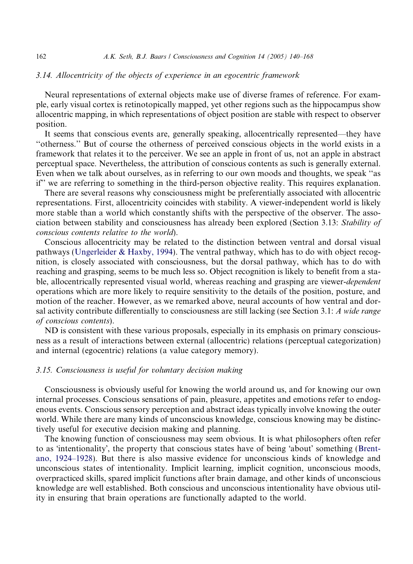#### 3.14. Allocentricity of the objects of experience in an egocentric framework

Neural representations of external objects make use of diverse frames of reference. For example, early visual cortex is retinotopically mapped, yet other regions such as the hippocampus show allocentric mapping, in which representations of object position are stable with respect to observer position.

It seems that conscious events are, generally speaking, allocentrically represented—they have ''otherness.'' But of course the otherness of perceived conscious objects in the world exists in a framework that relates it to the perceiver. We see an apple in front of us, not an apple in abstract perceptual space. Nevertheless, the attribution of conscious contents as such is generally external. Even when we talk about ourselves, as in referring to our own moods and thoughts, we speak ''as if'' we are referring to something in the third-person objective reality. This requires explanation.

There are several reasons why consciousness might be preferentially associated with allocentric representations. First, allocentricity coincides with stability. A viewer-independent world is likely more stable than a world which constantly shifts with the perspective of the observer. The association between stability and consciousness has already been explored (Section 3.13: Stability of conscious contents relative to the world).

Conscious allocentricity may be related to the distinction between ventral and dorsal visual pathways [\(Ungerleider & Haxby, 1994\)](#page-28-0). The ventral pathway, which has to do with object recognition, is closely associated with consciousness, but the dorsal pathway, which has to do with reaching and grasping, seems to be much less so. Object recognition is likely to benefit from a stable, allocentrically represented visual world, whereas reaching and grasping are viewer-dependent operations which are more likely to require sensitivity to the details of the position, posture, and motion of the reacher. However, as we remarked above, neural accounts of how ventral and dorsal activity contribute differentially to consciousness are still lacking (see Section 3.1: A wide range of conscious contents).

ND is consistent with these various proposals, especially in its emphasis on primary consciousness as a result of interactions between external (allocentric) relations (perceptual categorization) and internal (egocentric) relations (a value category memory).

# 3.15. Consciousness is useful for voluntary decision making

Consciousness is obviously useful for knowing the world around us, and for knowing our own internal processes. Conscious sensations of pain, pleasure, appetites and emotions refer to endogenous events. Conscious sensory perception and abstract ideas typically involve knowing the outer world. While there are many kinds of unconscious knowledge, conscious knowing may be distinctively useful for executive decision making and planning.

The knowing function of consciousness may seem obvious. It is what philosophers often refer to as 'intentionality', the property that conscious states have of being 'about' something [\(Brent](#page-24-0)[ano, 1924–1928](#page-24-0)). But there is also massive evidence for unconscious kinds of knowledge and unconscious states of intentionality. Implicit learning, implicit cognition, unconscious moods, overpracticed skills, spared implicit functions after brain damage, and other kinds of unconscious knowledge are well established. Both conscious and unconscious intentionality have obvious utility in ensuring that brain operations are functionally adapted to the world.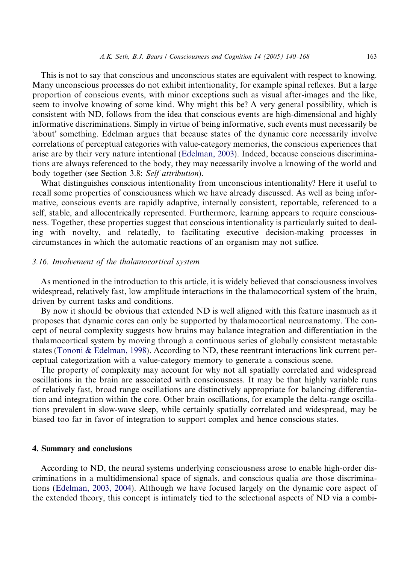This is not to say that conscious and unconscious states are equivalent with respect to knowing. Many unconscious processes do not exhibit intentionality, for example spinal reflexes. But a large proportion of conscious events, with minor exceptions such as visual after-images and the like, seem to involve knowing of some kind. Why might this be? A very general possibility, which is consistent with ND, follows from the idea that conscious events are high-dimensional and highly informative discriminations. Simply in virtue of being informative, such events must necessarily be 'about' something. Edelman argues that because states of the dynamic core necessarily involve correlations of perceptual categories with value-category memories, the conscious experiences that arise are by their very nature intentional ([Edelman, 2003\)](#page-25-0). Indeed, because conscious discriminations are always referenced to the body, they may necessarily involve a knowing of the world and body together (see Section 3.8: Self attribution).

What distinguishes conscious intentionality from unconscious intentionality? Here it useful to recall some properties of consciousness which we have already discussed. As well as being informative, conscious events are rapidly adaptive, internally consistent, reportable, referenced to a self, stable, and allocentrically represented. Furthermore, learning appears to require consciousness. Together, these properties suggest that conscious intentionality is particularly suited to dealing with novelty, and relatedly, to facilitating executive decision-making processes in circumstances in which the automatic reactions of an organism may not suffice.

# 3.16. Involvement of the thalamocortical system

As mentioned in the introduction to this article, it is widely believed that consciousness involves widespread, relatively fast, low amplitude interactions in the thalamocortical system of the brain, driven by current tasks and conditions.

By now it should be obvious that extended ND is well aligned with this feature inasmuch as it proposes that dynamic cores can only be supported by thalamocortical neuroanatomy. The concept of neural complexity suggests how brains may balance integration and differentiation in the thalamocortical system by moving through a continuous series of globally consistent metastable states [\(Tononi & Edelman, 1998](#page-27-0)). According to ND, these reentrant interactions link current perceptual categorization with a value-category memory to generate a conscious scene.

The property of complexity may account for why not all spatially correlated and widespread oscillations in the brain are associated with consciousness. It may be that highly variable runs of relatively fast, broad range oscillations are distinctively appropriate for balancing differentiation and integration within the core. Other brain oscillations, for example the delta-range oscillations prevalent in slow-wave sleep, while certainly spatially correlated and widespread, may be biased too far in favor of integration to support complex and hence conscious states.

#### 4. Summary and conclusions

According to ND, the neural systems underlying consciousness arose to enable high-order discriminations in a multidimensional space of signals, and conscious qualia are those discriminations [\(Edelman, 2003, 2004](#page-25-0)). Although we have focused largely on the dynamic core aspect of the extended theory, this concept is intimately tied to the selectional aspects of ND via a combi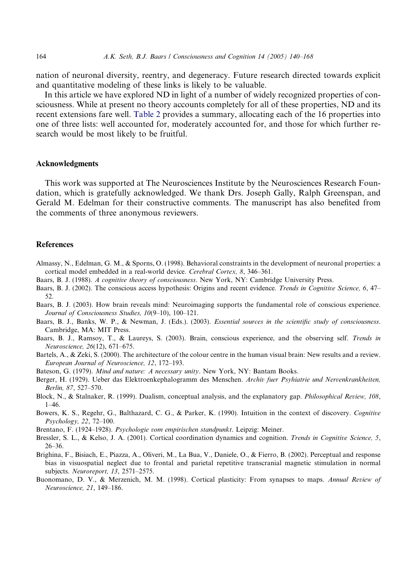<span id="page-24-0"></span>nation of neuronal diversity, reentry, and degeneracy. Future research directed towards explicit and quantitative modeling of these links is likely to be valuable.

In this article we have explored ND in light of a number of widely recognized properties of consciousness. While at present no theory accounts completely for all of these properties, ND and its recent extensions fare well. [Table 2](#page-9-0) provides a summary, allocating each of the 16 properties into one of three lists: well accounted for, moderately accounted for, and those for which further research would be most likely to be fruitful.

#### Acknowledgments

This work was supported at The Neurosciences Institute by the Neurosciences Research Foundation, which is gratefully acknowledged. We thank Drs. Joseph Gally, Ralph Greenspan, and Gerald M. Edelman for their constructive comments. The manuscript has also benefited from the comments of three anonymous reviewers.

## References

- Almassy, N., Edelman, G. M., & Sporns, O. (1998). Behavioral constraints in the development of neuronal properties: a cortical model embedded in a real-world device. Cerebral Cortex, 8, 346–361.
- Baars, B. J. (1988). A cognitive theory of consciousness. New York, NY: Cambridge University Press.
- Baars, B. J. (2002). The conscious access hypothesis: Origins and recent evidence. Trends in Cognitive Science, 6, 47– 52.
- Baars, B. J. (2003). How brain reveals mind: Neuroimaging supports the fundamental role of conscious experience. Journal of Consciousness Studies, 10(9–10), 100–121.
- Baars, B. J., Banks, W. P., & Newman, J. (Eds.). (2003). Essential sources in the scientific study of consciousness. Cambridge, MA: MIT Press.
- Baars, B. J., Ramsoy, T., & Laureys, S. (2003). Brain, conscious experience, and the observing self. Trends in Neuroscience, 26(12), 671–675.
- Bartels, A., & Zeki, S. (2000). The architecture of the colour centre in the human visual brain: New results and a review. European Journal of Neuroscience, 12, 172–193.
- Bateson, G. (1979). Mind and nature: A necessary unity. New York, NY: Bantam Books.
- Berger, H. (1929). Ueber das Elektroenkephalogramm des Menschen. Archiv fuer Psyhiatrie und Nervenkrankheiten, Berlin, 87, 527–570.
- Block, N., & Stalnaker, R. (1999). Dualism, conceptual analysis, and the explanatory gap. Philosophical Review, 108, 1–46.
- Bowers, K. S., Regehr, G., Balthazard, C. G., & Parker, K. (1990). Intuition in the context of discovery. Cognitive Psychology, 22, 72–100.
- Brentano, F. (1924–1928). Psychologie vom empirischen standpunkt. Leipzig: Meiner.
- Bressler, S. L., & Kelso, J. A. (2001). Cortical coordination dynamics and cognition. Trends in Cognitive Science, 5, 26–36.
- Brighina, F., Bisiach, E., Piazza, A., Oliveri, M., La Bua, V., Daniele, O., & Fierro, B. (2002). Perceptual and response bias in visuospatial neglect due to frontal and parietal repetitive transcranial magnetic stimulation in normal subjects. Neuroreport, 13, 2571–2575.
- Buonomano, D. V., & Merzenich, M. M. (1998). Cortical plasticity: From synapses to maps. Annual Review of Neuroscience, 21, 149–186.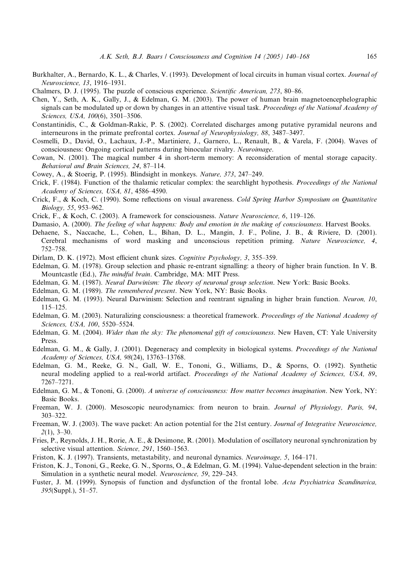- <span id="page-25-0"></span>Burkhalter, A., Bernardo, K. L., & Charles, V. (1993). Development of local circuits in human visual cortex. Journal of Neuroscience, 13, 1916–1931.
- Chalmers, D. J. (1995). The puzzle of conscious experience. Scientific American, 273, 80–86.
- Chen, Y., Seth, A. K., Gally, J., & Edelman, G. M. (2003). The power of human brain magnetoencephelographic signals can be modulated up or down by changes in an attentive visual task. Proceedings of the National Academy of Sciences, USA, 100(6), 3501–3506.
- Constantinidis, C., & Goldman-Rakic, P. S. (2002). Correlated discharges among putative pyramidal neurons and interneurons in the primate prefrontal cortex. Journal of Neurophysiology, 88, 3487–3497.
- Cosmelli, D., David, O., Lachaux, J.-P., Martiniere, J., Garnero, L., Renault, B., & Varela, F. (2004). Waves of consciousness: Ongoing cortical patterns during binocular rivalry. Neuroimage.
- Cowan, N. (2001). The magical number 4 in short-term memory: A reconsideration of mental storage capacity. Behavioral and Brain Sciences, 24, 87–114.
- Cowey, A., & Stoerig, P. (1995). Blindsight in monkeys. Nature, 373, 247–249.
- Crick, F. (1984). Function of the thalamic reticular complex: the searchlight hypothesis. Proceedings of the National Academy of Sciences, USA, 81, 4586–4590.
- Crick, F., & Koch, C. (1990). Some reflections on visual awareness. Cold Spring Harbor Symposium on Quantitative Biology, 55, 953–962.
- Crick, F., & Koch, C. (2003). A framework for consciousness. Nature Neuroscience, 6, 119–126.
- Damasio, A. (2000). The feeling of what happens: Body and emotion in the making of consciousness. Harvest Books.
- Dehaene, S., Naccache, L., Cohen, L., Bihan, D. L., Mangin, J. F., Poline, J. B., & Riviere, D. (2001). Cerebral mechanisms of word masking and unconscious repetition priming. Nature Neuroscience, 4, 752–758.
- Dirlam, D. K. (1972). Most efficient chunk sizes. Cognitive Psychology, 3, 355–359.
- Edelman, G. M. (1978). Group selection and phasic re-entrant signalling: a theory of higher brain function. In V. B. Mountcastle (Ed.), The mindful brain. Cambridge, MA: MIT Press.
- Edelman, G. M. (1987). Neural Darwinism: The theory of neuronal group selection. New York: Basic Books.
- Edelman, G. M. (1989). The remembered present. New York, NY: Basic Books.
- Edelman, G. M. (1993). Neural Darwinism: Selection and reentrant signaling in higher brain function. Neuron, 10, 115–125.
- Edelman, G. M. (2003). Naturalizing consciousness: a theoretical framework. Proceedings of the National Academy of Sciences, USA, 100, 5520–5524.
- Edelman, G. M. (2004). Wider than the sky: The phenomenal gift of consciousness. New Haven, CT: Yale University Press.
- Edelman, G. M., & Gally, J. (2001). Degeneracy and complexity in biological systems. Proceedings of the National Academy of Sciences, USA, 98(24), 13763–13768.
- Edelman, G. M., Reeke, G. N., Gall, W. E., Tononi, G., Williams, D., & Sporns, O. (1992). Synthetic neural modeling applied to a real-world artifact. Proceedings of the National Academy of Sciences, USA, 89, 7267–7271.
- Edelman, G. M., & Tononi, G. (2000). A universe of consciousness: How matter becomes imagination. New York, NY: Basic Books.
- Freeman, W. J. (2000). Mesoscopic neurodynamics: from neuron to brain. Journal of Physiology, Paris, 94, 303–322.
- Freeman, W. J. (2003). The wave packet: An action potential for the 21st century. Journal of Integrative Neuroscience, 2(1), 3–30.
- Fries, P., Reynolds, J. H., Rorie, A. E., & Desimone, R. (2001). Modulation of oscillatory neuronal synchronization by selective visual attention. Science, 291, 1560-1563.
- Friston, K. J. (1997). Transients, metastability, and neuronal dynamics. Neuroimage, 5, 164–171.
- Friston, K. J., Tononi, G., Reeke, G. N., Sporns, O., & Edelman, G. M. (1994). Value-dependent selection in the brain: Simulation in a synthetic neural model. Neuroscience, 59, 229–243.
- Fuster, J. M. (1999). Synopsis of function and dysfunction of the frontal lobe. Acta Psychiatrica Scandinavica, 395(Suppl.), 51–57.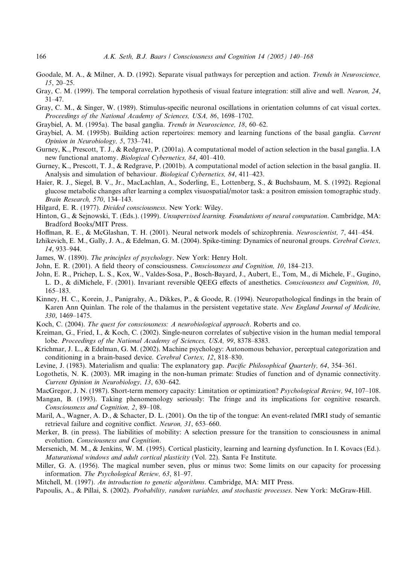- <span id="page-26-0"></span>Goodale, M. A., & Milner, A. D. (1992). Separate visual pathways for perception and action. Trends in Neuroscience, 15, 20–25.
- Gray, C. M. (1999). The temporal correlation hypothesis of visual feature integration: still alive and well. Neuron, 24, 31–47.
- Gray, C. M., & Singer, W. (1989). Stimulus-specific neuronal oscillations in orientation columns of cat visual cortex. Proceedings of the National Academy of Sciences, USA, 86, 1698–1702.
- Graybiel, A. M. (1995a). The basal ganglia. Trends in Neuroscience, 18, 60–62.
- Graybiel, A. M. (1995b). Building action repertoires: memory and learning functions of the basal ganglia. Current Opinion in Neurobiology, 5, 733–741.
- Gurney, K., Prescott, T. J., & Redgrave, P. (2001a). A computational model of action selection in the basal ganglia. I.A new functional anatomy. Biological Cybernetics, 84, 401–410.
- Gurney, K., Prescott, T. J., & Redgrave, P. (2001b). A computational model of action selection in the basal ganglia. II. Analysis and simulation of behaviour. Biological Cybernetics, 84, 411–423.
- Haier, R. J., Siegel, B. V., Jr., MacLachlan, A., Soderling, E., Lottenberg, S., & Buchsbaum, M. S. (1992). Regional glucose metabolic changes after learning a complex visuospatial/motor task: a positron emission tomographic study. Brain Research, 570, 134–143.
- Hilgard, E. R. (1977). Divided consciousness. New York: Wiley.
- Hinton, G., & Sejnowski, T. (Eds.). (1999). *Unsupervised learning. Foundations of neural computation*. Cambridge, MA: Bradford Books/MIT Press.
- Hoffman, R. E., & McGlashan, T. H. (2001). Neural network models of schizophrenia. Neuroscientist, 7, 441–454.
- Izhikevich, E. M., Gally, J. A., & Edelman, G. M. (2004). Spike-timing: Dynamics of neuronal groups. Cerebral Cortex, 14, 933–944.
- James, W. (1890). The principles of psychology. New York: Henry Holt.
- John, E. R. (2001). A field theory of consciousness. Consciousness and Cognition, 10, 184–213.
- John, E. R., Prichep, L. S., Kox, W., Valdes-Sosa, P., Bosch-Bayard, J., Aubert, E., Tom, M., di Michele, F., Gugino, L. D., & diMichele, F. (2001). Invariant reversible QEEG effects of anesthetics. Consciousness and Cognition, 10, 165–183.
- Kinney, H. C., Korein, J., Panigrahy, A., Dikkes, P., & Goode, R. (1994). Neuropathological findings in the brain of Karen Ann Quinlan. The role of the thalamus in the persistent vegetative state. New England Journal of Medicine, 330, 1469–1475.
- Koch, C. (2004). The quest for consciousness: A neurobiological approach. Roberts and co.
- Kreiman, G., Fried, I., & Koch, C. (2002). Single-neuron correlates of subjective vision in the human medial temporal lobe. Proceedings of the National Academy of Sciences, USA, 99, 8378–8383.
- Krichmar, J. L., & Edelman, G. M. (2002). Machine psychology: Autonomous behavior, perceptual categorization and conditioning in a brain-based device. Cerebral Cortex, 12, 818–830.
- Levine, J. (1983). Materialism and qualia: The explanatory gap. Pacific Philosophical Quarterly, 64, 354–361.
- Logothetis, N. K. (2003). MR imaging in the non-human primate: Studies of function and of dynamic connectivity. Current Opinion in Neurobiology, 13, 630–642.
- MacGregor, J. N. (1987). Short-term memory capacity: Limitation or optimization? Psychological Review, 94, 107–108.
- Mangan, B. (1993). Taking phenomenology seriously: The fringe and its implications for cognitive research. Consciousness and Cognition, 2, 89–108.
- Maril, A., Wagner, A. D., & Schacter, D. L. (2001). On the tip of the tongue: An event-related fMRI study of semantic retrieval failure and cognitive conflict. Neuron, 31, 653–660.
- Merker, B. (in press). The liabilities of mobility: A selection pressure for the transition to consciousness in animal evolution. Consciousness and Cognition.
- Mersenich, M. M., & Jenkins, W. M. (1995). Cortical plasticity, learning and learning dysfunction. In I. Kovacs (Ed.). Maturational windows and adult cortical plasticity (Vol. 22). Santa Fe Institute.
- Miller, G. A. (1956). The magical number seven, plus or minus two: Some limits on our capacity for processing information. The Psychological Review, 63, 81–97.
- Mitchell, M. (1997). An introduction to genetic algorithms. Cambridge, MA: MIT Press.
- Papoulis, A., & Pillai, S. (2002). Probability, random variables, and stochastic processes. New York: McGraw-Hill.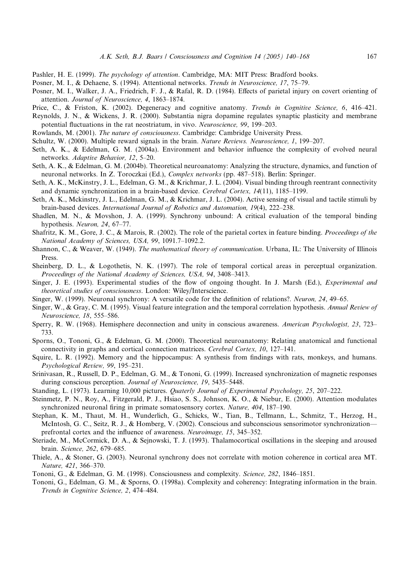- <span id="page-27-0"></span>Pashler, H. E. (1999). The psychology of attention. Cambridge, MA: MIT Press: Bradford books.
- Posner, M. I., & Dehaene, S. (1994). Attentional networks. Trends in Neuroscience, 17, 75–79.
- Posner, M. I., Walker, J. A., Friedrich, F. J., & Rafal, R. D. (1984). Effects of parietal injury on covert orienting of attention. Journal of Neuroscience, 4, 1863–1874.
- Price, C., & Friston, K. (2002). Degeneracy and cognitive anatomy. Trends in Cognitive Science, 6, 416–421.
- Reynolds, J. N., & Wickens, J. R. (2000). Substantia nigra dopamine regulates synaptic plasticity and membrane potential fluctuations in the rat neostriatum, in vivo. Neuroscience, 99, 199–203.
- Rowlands, M. (2001). The nature of consciousness. Cambridge: Cambridge University Press.
- Schultz, W. (2000). Multiple reward signals in the brain. Nature Reviews. Neuroscience, 1, 199–207.
- Seth, A. K., & Edelman, G. M. (2004a). Environment and behavior influence the complexity of evolved neural networks. Adaptive Behavior, 12, 5–20.
- Seth, A. K., & Edelman, G. M. (2004b). Theoretical neuroanatomy: Analyzing the structure, dynamics, and function of neuronal networks. In Z. Toroczkai (Ed.), Complex networks (pp. 487–518). Berlin: Springer.
- Seth, A. K., McKinstry, J. L., Edelman, G. M., & Krichmar, J. L. (2004). Visual binding through reentrant connectivity and dynamic synchronization in a brain-based device. Cerebral Cortex, 14(11), 1185–1199.
- Seth, A. K., Mckinstry, J. L., Edelman, G. M., & Krichmar, J. L. (2004). Active sensing of visual and tactile stimuli by brain-based devices. International Journal of Robotics and Automation, 19(4), 222–238.
- Shadlen, M. N., & Movshon, J. A. (1999). Synchrony unbound: A critical evaluation of the temporal binding hypothesis. Neuron, 24, 67–77.
- Shafritz, K. M., Gore, J. C., & Marois, R. (2002). The role of the parietal cortex in feature binding. Proceedings of the National Academy of Sciences, USA, 99, 1091.7–1092.2.
- Shannon, C., & Weaver, W. (1949). The mathematical theory of communication. Urbana, IL: The University of Illinois Press.
- Sheinberg, D. L., & Logothetis, N. K. (1997). The role of temporal cortical areas in perceptual organization. Proceedings of the National Academy of Sciences, USA, 94, 3408–3413.
- Singer, J. E. (1993). Experimental studies of the flow of ongoing thought. In J. Marsh (Ed.), Experimental and theoretical studies of consciousness. London: Wiley/Interscience.
- Singer, W. (1999). Neuronal synchrony: A versatile code for the definition of relations?. Neuron, 24, 49–65.
- Singer, W., & Gray, C. M. (1995). Visual feature integration and the temporal correlation hypothesis. Annual Review of Neuroscience, 18, 555–586.
- Sperry, R. W. (1968). Hemisphere deconnection and unity in conscious awareness. American Psychologist, 23, 723– 733.
- Sporns, O., Tononi, G., & Edelman, G. M. (2000). Theoretical neuroanatomy: Relating anatomical and functional connectivity in graphs and cortical connection matrices. Cerebral Cortex, 10, 127–141.
- Squire, L. R. (1992). Memory and the hippocampus: A synthesis from findings with rats, monkeys, and humans. Psychological Review, 99, 195–231.
- Srinivasan, R., Russell, D. P., Edelman, G. M., & Tononi, G. (1999). Increased synchronization of magnetic responses during conscious perception. Journal of Neuroscience, 19, 5435–5448.
- Standing, L. (1973). Learning 10,000 pictures. Quaterly Journal of Experimental Psychology, 25, 207–222.
- Steinmetz, P. N., Roy, A., Fitzgerald, P. J., Hsiao, S. S., Johnson, K. O., & Niebur, E. (2000). Attention modulates synchronized neuronal firing in primate somatosensory cortex. Nature, 404, 187–190.
- Stephan, K. M., Thaut, M. H., Wunderlich, G., Schicks, W., Tian, B., Tellmann, L., Schmitz, T., Herzog, H., McIntosh, G. C., Seitz, R. J., & Homberg, V. (2002). Conscious and subconscious sensorimotor synchronization prefrontal cortex and the influence of awareness. Neuroimage, 15, 345–352.
- Steriade, M., McCormick, D. A., & Sejnowski, T. J. (1993). Thalamocortical oscillations in the sleeping and aroused brain. Science, 262, 679–685.
- Thiele, A., & Stoner, G. (2003). Neuronal synchrony does not correlate with motion coherence in cortical area MT. Nature, 421, 366–370.
- Tononi, G., & Edelman, G. M. (1998). Consciousness and complexity. Science, 282, 1846–1851.
- Tononi, G., Edelman, G. M., & Sporns, O. (1998a). Complexity and coherency: Integrating information in the brain. Trends in Cognitive Science, 2, 474–484.